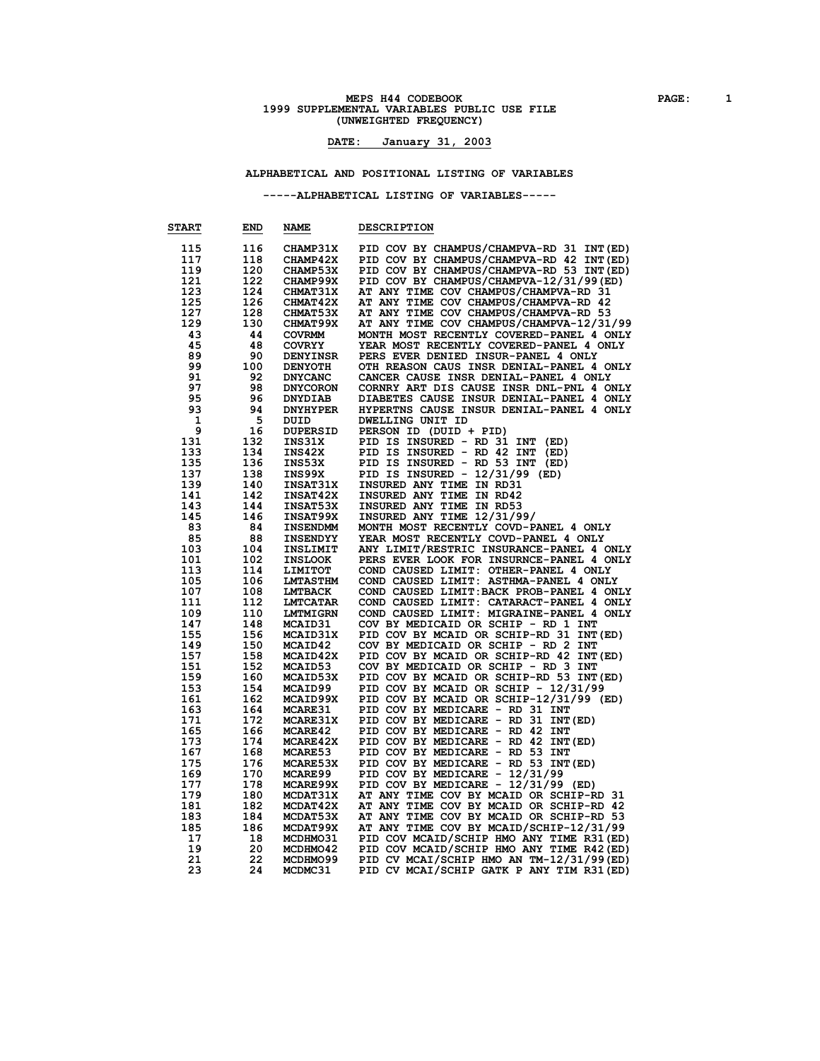# **MEPS H44 CODEBOOK PAGE:** 1<br> **1999 SUPPLEMENTAL VARIABLES PUBLIC USE FILE (UNWEIGHTED FREQUENCY)**

### **DATE: January 31, 2003**

#### **ALPHABETICAL AND POSITIONAL LISTING OF VARIABLES**

**-----ALPHABETICAL LISTING OF VARIABLES-----**

| <b>START</b> | END | NAME            | <b>DESCRIPTION</b>                        |
|--------------|-----|-----------------|-------------------------------------------|
| 115          | 116 | CHAMP31X        | PID COV BY CHAMPUS/CHAMPVA-RD 31 INT(ED)  |
| 117          | 118 | CHAMP42X        | PID COV BY CHAMPUS/CHAMPVA-RD 42 INT(ED)  |
| 119          | 120 | <b>CHAMP53X</b> | PID COV BY CHAMPUS/CHAMPVA-RD 53 INT (ED) |
| 121          | 122 | CHAMP99X        | PID COV BY CHAMPUS/CHAMPVA-12/31/99 (ED)  |
| 123          | 124 | <b>CHMAT31X</b> | AT ANY TIME COV CHAMPUS/CHAMPVA-RD 31     |
| 125          | 126 | <b>CHMAT42X</b> | AT ANY TIME COV CHAMPUS/CHAMPVA-RD 42     |
| 127          | 128 | CHMAT53X        | AT ANY TIME COV CHAMPUS/CHAMPVA-RD 53     |
| 129          | 130 | CHMAT99X        | AT ANY TIME COV CHAMPUS/CHAMPVA-12/31/99  |
| 43           | 44  | <b>COVRMM</b>   | MONTH MOST RECENTLY COVERED-PANEL 4 ONLY  |
| 45           | 48  | <b>COVRYY</b>   | YEAR MOST RECENTLY COVERED-PANEL 4 ONLY   |
| 89           | 90  | <b>DENYINSR</b> | PERS EVER DENIED INSUR-PANEL 4 ONLY       |
| 99           | 100 | <b>DENYOTH</b>  | OTH REASON CAUS INSR DENIAL-PANEL 4 ONLY  |
| 91           | 92  | <b>DNYCANC</b>  | CANCER CAUSE INSR DENIAL-PANEL 4 ONLY     |
| 97           | 98  | <b>DNYCORON</b> | CORNRY ART DIS CAUSE INSR DNL-PNL 4 ONLY  |
| 95           | 96  | <b>DNYDIAB</b>  | DIABETES CAUSE INSUR DENIAL-PANEL 4 ONLY  |
| 93           | 94  | <b>DNYHYPER</b> | HYPERTNS CAUSE INSUR DENIAL-PANEL 4 ONLY  |
| 1            | 5   | DUID            | DWELLING UNIT ID                          |
| 9            | 16  | <b>DUPERSID</b> | PERSON ID (DUID + PID)                    |
| 131          | 132 | INS31X          | PID IS INSURED - RD 31 INT<br>(ED)        |
| 133          | 134 | INS42X          | PID IS INSURED - RD 42 INT<br>(ED)        |
| 135          | 136 | INS53X          | PID IS INSURED - RD 53 INT<br>(ED)        |
| 137          | 138 | INS99X          | PID IS INSURED - $12/31/99$ (ED)          |
| 139          | 140 | INSAT31X        | INSURED ANY TIME IN RD31                  |
| 141          | 142 | <b>INSAT42X</b> | INSURED ANY TIME IN RD42                  |
| 143          | 144 | INSAT53X        | INSURED ANY TIME IN RD53                  |
| 145          | 146 | INSAT99X        | INSURED ANY TIME 12/31/99/                |
| 83           | 84  | <b>INSENDMM</b> | MONTH MOST RECENTLY COVD-PANEL 4 ONLY     |
| 85           | 88  | <b>INSENDYY</b> | YEAR MOST RECENTLY COVD-PANEL 4 ONLY      |
| 103          | 104 | <b>INSLIMIT</b> | ANY LIMIT/RESTRIC INSURANCE-PANEL 4 ONLY  |
| 101          | 102 | <b>INSLOOK</b>  | PERS EVER LOOK FOR INSURNCE-PANEL 4 ONLY  |
| 113          | 114 | LIMITOT         | COND CAUSED LIMIT: OTHER-PANEL 4 ONLY     |
| 105          | 106 | <b>LMTASTHM</b> | COND CAUSED LIMIT: ASTHMA-PANEL 4 ONLY    |
| 107          | 108 | <b>LMTBACK</b>  | COND CAUSED LIMIT: BACK PROB-PANEL 4 ONLY |
| 111          | 112 | <b>LMTCATAR</b> | COND CAUSED LIMIT: CATARACT-PANEL 4 ONLY  |
| 109          | 110 | <b>LMTMIGRN</b> | COND CAUSED LIMIT: MIGRAINE-PANEL 4 ONLY  |
| 147          | 148 | <b>MCAID31</b>  | COV BY MEDICAID OR SCHIP - RD 1 INT       |
| 155          | 156 | MCAID31X        | PID COV BY MCAID OR SCHIP-RD 31 INT(ED)   |
| 149          | 150 | MCAID42         | COV BY MEDICAID OR SCHIP - RD 2 INT       |
| 157          | 158 | MCAID42X        | PID COV BY MCAID OR SCHIP-RD 42 INT(ED)   |
| 151          | 152 | MCAID53         | COV BY MEDICAID OR SCHIP - RD 3 INT       |
| 159          | 160 | MCAID53X        | PID COV BY MCAID OR SCHIP-RD 53 INT (ED)  |
| 153          | 154 | <b>MCAID99</b>  | PID COV BY MCAID OR SCHIP - 12/31/99      |
| 161          | 162 | MCAID99X        | PID COV BY MCAID OR SCHIP-12/31/99 (ED)   |
| 163          | 164 | <b>MCARE31</b>  | PID COV BY MEDICARE - RD 31 INT           |
| 171          | 172 | MCARE31X        | PID COV BY MEDICARE - RD 31 INT (ED)      |
| 165          | 166 | MCARE42         | PID COV BY MEDICARE - RD 42 INT           |
| 173          | 174 | MCARE42X        | PID COV BY MEDICARE - RD 42 INT (ED)      |
| 167          | 168 | MCARE53         | PID COV BY MEDICARE - RD 53 INT           |
| 175          | 176 | MCARE53X        | PID COV BY MEDICARE - RD 53 INT (ED)      |
| 169          | 170 | <b>MCARE99</b>  | PID COV BY MEDICARE - 12/31/99            |
| 177          | 178 | MCARE99X        | PID COV BY MEDICARE - 12/31/99 (ED)       |
| 179          | 180 | MCDAT31X        | AT ANY TIME COV BY MCAID OR SCHIP-RD 31   |
| 181          | 182 | MCDAT42X        | AT ANY TIME COV BY MCAID OR SCHIP-RD 42   |
| 183          | 184 | MCDAT53X        | AT ANY TIME COV BY MCAID OR SCHIP-RD 53   |
| 185          | 186 | MCDAT99X        | AT ANY TIME COV BY MCAID/SCHIP-12/31/99   |
| 17           | 18  | MCDHM031        | PID COV MCAID/SCHIP HMO ANY TIME R31 (ED) |
| 19           | 20  | MCDHMO42        | PID COV MCAID/SCHIP HMO ANY TIME R42 (ED) |
| 21           | 22  | MCDHMO99        | PID CV MCAI/SCHIP HMO AN TM-12/31/99 (ED) |
| 23           | 24  | MCDMC31         | PID CV MCAI/SCHIP GATK P ANY TIM R31 (ED) |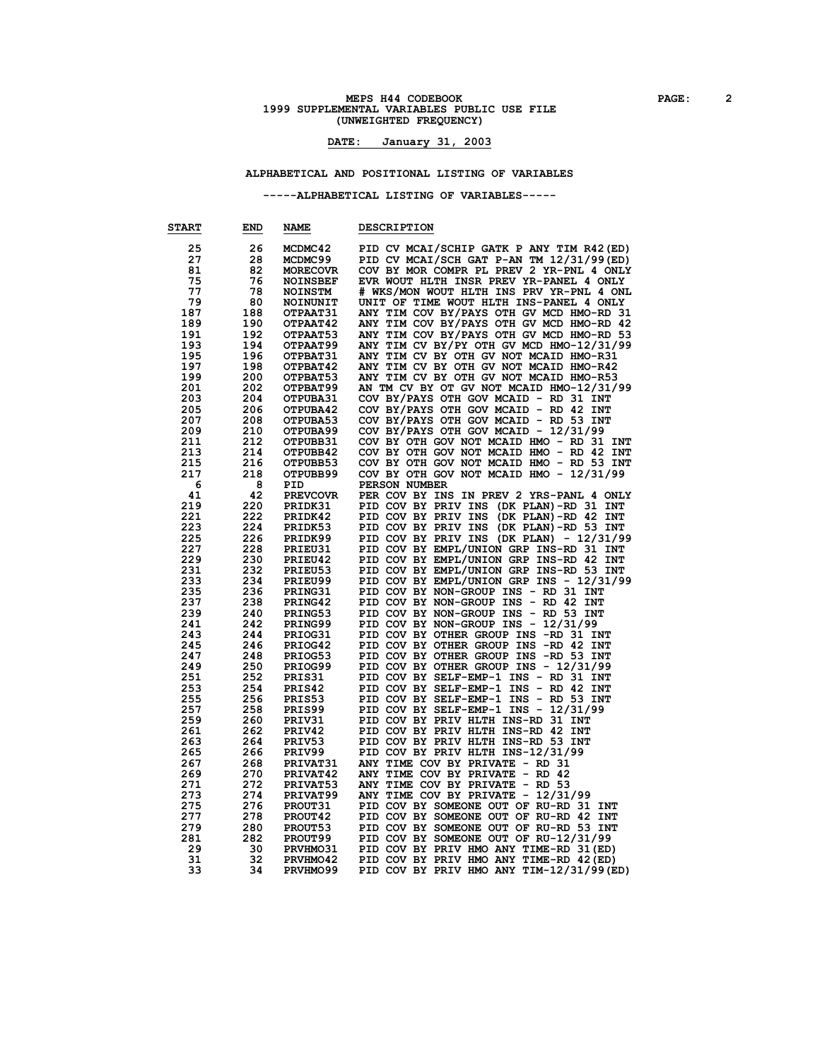# **MEPS H44 CODEBOOK PAGE:** 2<br> **2** PAGE: 22 ARIABLES PUBLIC USE FILE **(UNWEIGHTED FREQUENCY)**

#### **DATE: January 31, 2003**

#### **ALPHABETICAL AND POSITIONAL LISTING OF VARIABLES**

**-----ALPHABETICAL LISTING OF VARIABLES-----**

| <b>START</b> | END | <b>NAME</b>     | <b>DESCRIPTION</b>                              |
|--------------|-----|-----------------|-------------------------------------------------|
| 25           | 26  | MCDMC42         | PID CV MCAI/SCHIP GATK P ANY TIM R42 (ED)       |
| 27           | 28  | MCDMC99         | PID CV MCAI/SCH GAT P-AN TM 12/31/99 (ED)       |
| 81           | 82  |                 | COV BY MOR COMPR PL PREV 2 YR-PNL 4 ONLY        |
|              |     | <b>MORECOVR</b> |                                                 |
| 75           | 76  | <b>NOINSBEF</b> | EVR WOUT HLTH INSR PREV YR-PANEL 4 ONLY         |
| 77           | 78  | <b>NOINSTM</b>  | # WKS/MON WOUT HLTH INS PRV YR-PNL 4 ONL        |
| 79           | 80  | NOINUNIT        | UNIT OF TIME WOUT HLTH INS-PANEL 4 ONLY         |
| 187          | 188 | OTPAAT31        | ANY TIM COV BY/PAYS OTH GV MCD HMO-RD 31        |
| 189          | 190 | OTPAAT42        | ANY TIM COV BY/PAYS OTH GV MCD HMO-RD 42        |
| 191          | 192 | OTPAAT53        | ANY TIM COV BY/PAYS OTH GV MCD HMO-RD 53        |
| 193          | 194 | OTPAAT99        | ANY TIM CV BY/PY OTH GV MCD HMO-12/31/99        |
| 195          | 196 | OTPBAT31        | ANY TIM CV BY OTH GV NOT MCAID HMO-R31          |
| 197          | 198 | OTPBAT42        | ANY TIM CV BY OTH GV NOT MCAID HMO-R42          |
| 199          | 200 | OTPBAT53        |                                                 |
|              |     |                 | ANY TIM CV BY OTH GV NOT MCAID HMO-R53          |
| 201          | 202 | OTPBAT99        | AN TM CV BY OT GV NOT MCAID HMO-12/31/99        |
| 203          | 204 | OTPUBA31        | COV BY/PAYS OTH GOV MCAID - RD 31 INT           |
| 205          | 206 | OTPUBA42        | COV BY/PAYS OTH GOV MCAID - RD 42 INT           |
| 207          | 208 | OTPUBA53        | COV BY/PAYS OTH GOV MCAID - RD 53 INT           |
| 209          | 210 | OTPUBA99        | COV BY/PAYS OTH GOV MCAID - 12/31/99            |
| 211          | 212 | OTPUBB31        | COV BY OTH GOV NOT MCAID HMO - RD 31 INT        |
| 213          | 214 | OTPUBB42        | COV BY OTH GOV NOT MCAID HMO - RD 42 INT        |
| 215          | 216 | OTPUBB53        | COV BY OTH GOV NOT MCAID HMO - RD 53 INT        |
| 217          | 218 | OTPUBB99        | COV BY OTH GOV NOT MCAID HMO - 12/31/99         |
| 6            | 8   | PID             | PERSON NUMBER                                   |
|              |     |                 |                                                 |
| 41           | 42  | <b>PREVCOVR</b> | PER COV BY INS IN PREV 2 YRS-PANL 4 ONLY        |
| 219          | 220 | PRIDK31         | PID COV BY PRIV INS<br>(DK PLAN)-RD 31 INT      |
| 221          | 222 | PRIDK42         | PID COV BY PRIV INS<br>(DK PLAN)-RD 42 INT      |
| 223          | 224 | PRIDK53         | PID COV BY PRIV INS (DK PLAN)-RD 53 INT         |
| 225          | 226 | PRIDK99         | PID COV BY PRIV INS (DK PLAN) - 12/31/99        |
| 227          | 228 | PRIEU31         | PID COV BY EMPL/UNION GRP INS-RD 31 INT         |
| 229          | 230 | PRIEU42         | PID COV BY EMPL/UNION GRP INS-RD 42 INT         |
| 231          | 232 | PRIEU53         | PID COV BY EMPL/UNION GRP INS-RD 53 INT         |
| 233          | 234 | PRIEU99         | PID COV BY EMPL/UNION GRP INS - 12/31/99        |
| 235          | 236 | PRING31         | PID COV BY NON-GROUP INS - RD 31 INT            |
| 237          | 238 | PRING42         | PID COV BY NON-GROUP INS - RD 42 INT            |
| 239          | 240 |                 |                                                 |
|              |     | PRING53         | PID COV BY NON-GROUP INS - RD 53 INT            |
| 241          | 242 | PRING99         | PID COV BY NON-GROUP INS - 12/31/99             |
| 243          | 244 | PRIOG31         | PID COV BY OTHER GROUP INS -RD 31 INT           |
| 245          | 246 | PRIOG42         | PID COV BY OTHER GROUP INS -RD 42<br><b>INT</b> |
| 247          | 248 | PRIOG53         | PID COV BY OTHER GROUP INS -RD 53 INT           |
| 249          | 250 | PRIOG99         | PID COV BY OTHER GROUP INS - 12/31/99           |
| 251          | 252 | PRIS31          | PID COV BY SELF-EMP-1 INS - RD 31 INT           |
| 253          | 254 | PRIS42          | PID COV BY SELF-EMP-1 INS - RD 42 INT           |
| 255          | 256 | PRIS53          | PID COV BY SELF-EMP-1 INS - RD 53 INT           |
| 257          | 258 | PRIS99          | PID COV BY SELF-EMP-1 INS - 12/31/99            |
| 259          | 260 | PRIV31          | PID COV BY PRIV HLTH INS-RD 31 INT              |
| 261          | 262 | PRIV42          | PID COV BY PRIV HLTH INS-RD 42 INT              |
|              |     |                 |                                                 |
| 263          | 264 | PRIV53          | PID COV BY PRIV HLTH INS-RD 53 INT              |
| 265          | 266 | PRIV99          | PID COV BY PRIV HLTH INS-12/31/99               |
| 267          | 268 | PRIVAT31        | ANY TIME COV BY PRIVATE - RD 31                 |
| 269          | 270 | PRIVAT42        | ANY TIME COV BY PRIVATE - RD 42                 |
| 271          | 272 | PRIVAT53        | ANY TIME COV BY PRIVATE - RD 53                 |
| 273          | 274 | PRIVAT99        | ANY TIME COV BY PRIVATE - 12/31/99              |
| 275          | 276 | PROUT31         | PID COV BY SOMEONE OUT OF RU-RD 31 INT          |
| 277          | 278 | <b>PROUT42</b>  | PID COV BY SOMEONE OUT OF RU-RD 42 INT          |
| 279          | 280 | PROUT53         | PID COV BY SOMEONE OUT OF RU-RD 53 INT          |
| 281          | 282 | <b>PROUT99</b>  | PID COV BY SOMEONE OUT OF RU-12/31/99           |
|              |     |                 |                                                 |
| 29           | 30  | <b>PRVHMO31</b> | PID COV BY PRIV HMO ANY TIME-RD 31 (ED)         |
| 31           | 32  | PRVHMO42        | PID COV BY PRIV HMO ANY TIME-RD 42 (ED)         |
| 33           | 34  | PRVHMO99        | PID COV BY PRIV HMO ANY TIM-12/31/99 (ED)       |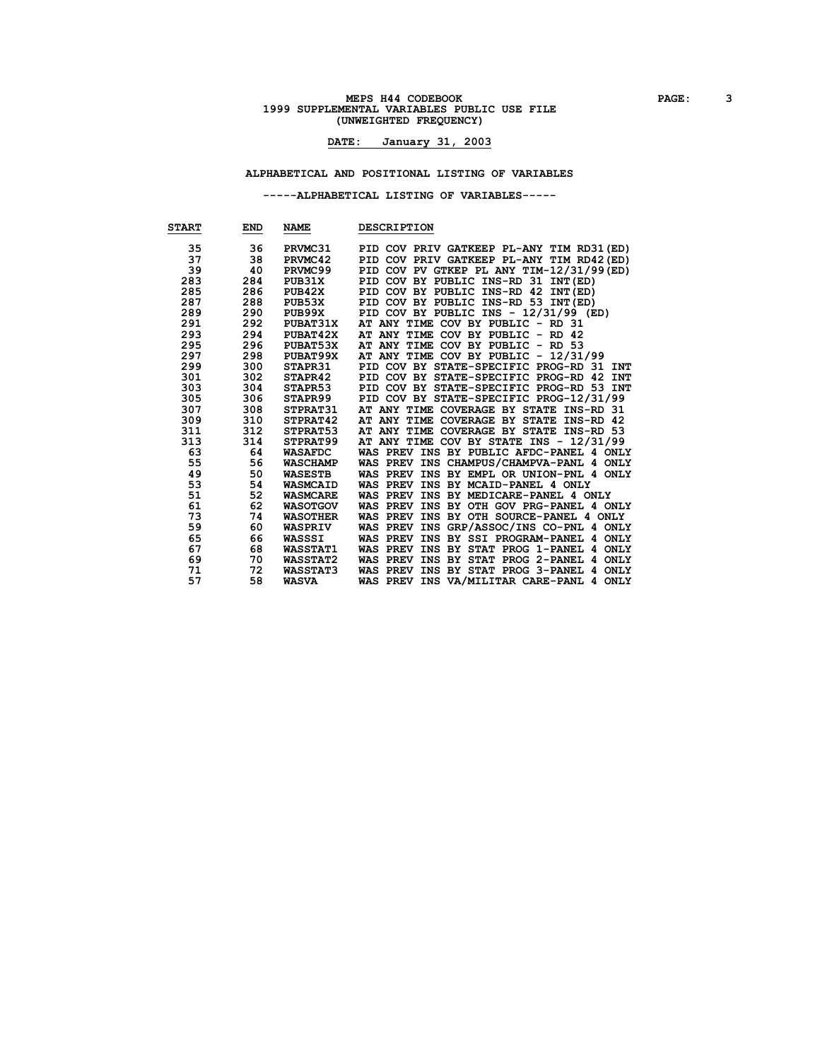# **MEPS H44 CODEBOOK PAGE:** 3<br>1999 SUPPLEMENTAL VARIABLES PUBLIC USE FILE **(UNWEIGHTED FREQUENCY)**

### **DATE: January 31, 2003**

**ALPHABETICAL AND POSITIONAL LISTING OF VARIABLES**

**-----ALPHABETICAL LISTING OF VARIABLES-----**

| <b>START</b> | <b>END</b> | <b>NAME</b>     | <b>DESCRIPTION</b>                        |
|--------------|------------|-----------------|-------------------------------------------|
| 35           | 36         | PRVMC31         | PID COV PRIV GATKEEP PL-ANY TIM RD31 (ED) |
| 37           | 38         | PRVMC42         | PID COV PRIV GATKEEP PL-ANY TIM RD42 (ED) |
| 39           | 40         | PRVMC99         | PID COV PV GTKEP PL ANY TIM-12/31/99 (ED) |
| 283          | 284        | PUB31X          | PID COV BY PUBLIC INS-RD 31 INT(ED)       |
| 285          | 286        | PUB42X          | PID COV BY PUBLIC INS-RD 42 INT(ED)       |
| 287          | 288        | PUB53X          | PID COV BY PUBLIC INS-RD 53 INT(ED)       |
| 289          | 290        | PUB99X          | PID COV BY PUBLIC INS - 12/31/99 (ED)     |
| 291          | 292        | PUBAT31X        | AT ANY TIME COV BY PUBLIC - RD 31         |
| 293          | 294        | PUBAT42X        | AT ANY TIME COV BY PUBLIC - RD 42         |
| 295          | 296        | PUBAT53X        | AT ANY TIME COV BY PUBLIC -<br>RD 53      |
| 297          | 298        | PUBAT99X        | AT ANY TIME COV BY PUBLIC - 12/31/99      |
| 299          | 300        | <b>STAPR31</b>  | PID COV BY STATE-SPECIFIC PROG-RD 31 INT  |
| 301          | 302        | STAPR42         | PID COV BY STATE-SPECIFIC PROG-RD 42 INT  |
| 303          | 304        | STAPR53         | PID COV BY STATE-SPECIFIC PROG-RD 53 INT  |
| 305          | 306        | <b>STAPR99</b>  | PID COV BY STATE-SPECIFIC PROG-12/31/99   |
| 307          | 308        | <b>STPRAT31</b> | AT ANY TIME COVERAGE BY STATE INS-RD 31   |
| 309          | 310        | STPRAT42        | AT ANY TIME COVERAGE BY STATE INS-RD 42   |
| 311          | 312        | STPRAT53        | AT ANY TIME COVERAGE BY STATE INS-RD 53   |
| 313          | 314        | STPRAT99        | AT ANY TIME COV BY STATE INS - 12/31/99   |
| 63           | 64         | <b>WASAFDC</b>  | WAS PREV INS BY PUBLIC AFDC-PANEL 4 ONLY  |
| 55           | 56         | <b>WASCHAMP</b> | WAS PREV INS CHAMPUS/CHAMPVA-PANL 4 ONLY  |
| 49           | 50         | <b>WASESTB</b>  | WAS PREV INS BY EMPL OR UNION-PNL 4 ONLY  |
| 53           | 54         | <b>WASMCAID</b> | WAS PREV INS BY MCAID-PANEL 4 ONLY        |
| 51           | 52         | <b>WASMCARE</b> | WAS PREV INS BY MEDICARE-PANEL 4 ONLY     |
| 61           | 62         | <b>WASOTGOV</b> | WAS PREV INS BY OTH GOV PRG-PANEL 4 ONLY  |
| 73           | 74         | <b>WASOTHER</b> | WAS PREV INS BY OTH SOURCE-PANEL 4 ONLY   |
| 59           | 60         | <b>WASPRIV</b>  | WAS PREV INS GRP/ASSOC/INS CO-PNL 4 ONLY  |
| 65           | 66         | <b>WASSSI</b>   | WAS PREV INS BY SSI PROGRAM-PANEL 4 ONLY  |
| 67           | 68         | <b>WASSTAT1</b> | WAS PREV INS BY STAT PROG 1-PANEL 4 ONLY  |
| 69           | 70         | <b>WASSTAT2</b> | WAS PREV INS BY STAT PROG 2-PANEL 4 ONLY  |
| 71           | 72         | <b>WASSTAT3</b> | WAS PREV INS BY STAT PROG 3-PANEL 4 ONLY  |
| 57           | 58         | <b>WASVA</b>    | WAS PREV INS VA/MILITAR CARE-PANL 4 ONLY  |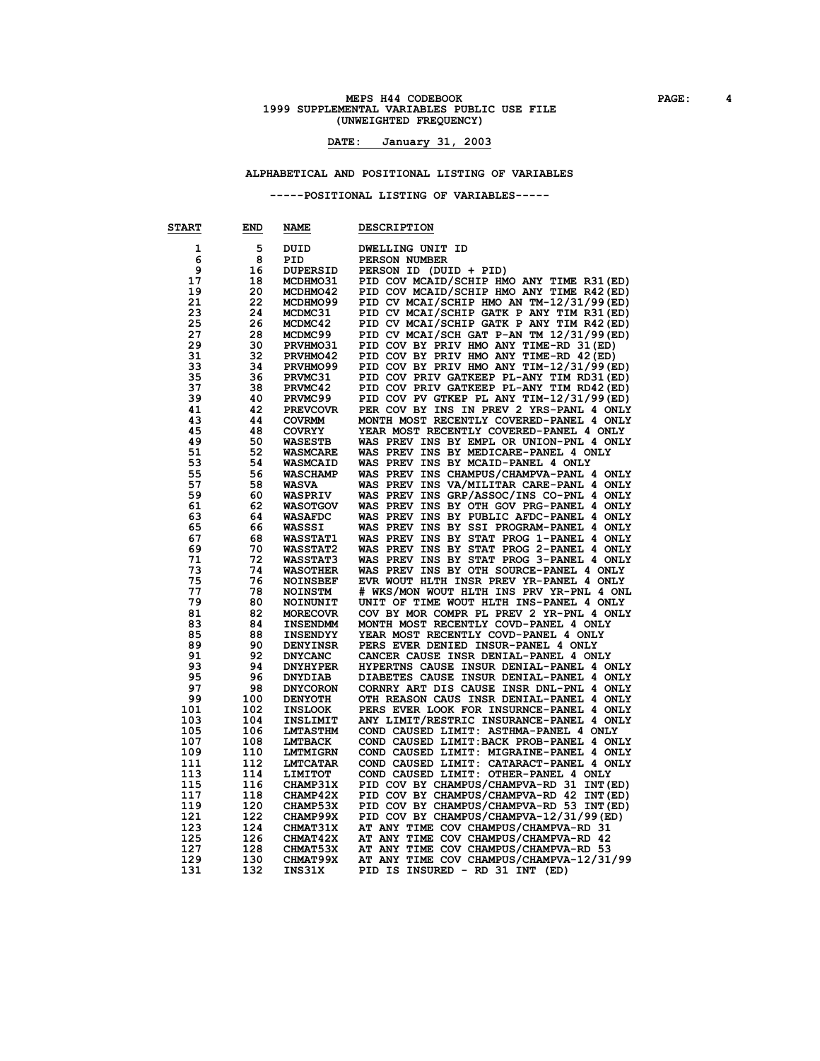# **MEPS H44 CODEBOOK PAGE: 4**<br>1999 SUPPLEMENTAL VARIABLES PUBLIC USE FILE **(UNWEIGHTED FREQUENCY)**

### **DATE: January 31, 2003**

**ALPHABETICAL AND POSITIONAL LISTING OF VARIABLES**

**-----POSITIONAL LISTING OF VARIABLES-----**

| <b>START</b> | END | <b>NAME</b>     | <b>DESCRIPTION</b>                        |
|--------------|-----|-----------------|-------------------------------------------|
| 1            | 5   | <b>DUID</b>     | <b>DWELLING UNIT ID</b>                   |
| 6            | 8   | PID             | PERSON NUMBER                             |
| 9            | 16  | <b>DUPERSID</b> | PERSON ID (DUID + PID)                    |
| 17           | 18  | MCDHMO31        | PID COV MCAID/SCHIP HMO ANY TIME R31 (ED) |
| 19           | 20  | MCDHMO42        | PID COV MCAID/SCHIP HMO ANY TIME R42 (ED) |
| 21           | 22  | MCDHMO99        | PID CV MCAI/SCHIP HMO AN TM-12/31/99 (ED) |
| 23           | 24  | MCDMC31         | PID CV MCAI/SCHIP GATK P ANY TIM R31 (ED) |
| 25           | 26  | MCDMC42         | PID CV MCAI/SCHIP GATK P ANY TIM R42 (ED) |
| 27           | 28  | MCDMC99         | PID CV MCAI/SCH GAT P-AN TM 12/31/99 (ED) |
| 29           | 30  | PRVHMO31        | PID COV BY PRIV HMO ANY TIME-RD 31 (ED)   |
| 31           | 32  | PRVHMO42        | PID COV BY PRIV HMO ANY TIME-RD 42 (ED)   |
| 33           | 34  | PRVHMO99        | PID COV BY PRIV HMO ANY TIM-12/31/99 (ED) |
| 35           | 36  | PRVMC31         | PID COV PRIV GATKEEP PL-ANY TIM RD31 (ED) |
| 37           | 38  | PRVMC42         | PID COV PRIV GATKEEP PL-ANY TIM RD42 (ED) |
| 39           | 40  | PRVMC99         | PID COV PV GTKEP PL ANY TIM-12/31/99 (ED) |
| 41           | 42  | <b>PREVCOVR</b> | PER COV BY INS IN PREV 2 YRS-PANL 4 ONLY  |
| 43           | 44  | <b>COVRMM</b>   | MONTH MOST RECENTLY COVERED-PANEL 4 ONLY  |
| 45           | 48  | <b>COVRYY</b>   | YEAR MOST RECENTLY COVERED-PANEL 4 ONLY   |
| 49           | 50  | <b>WASESTB</b>  | WAS PREV INS BY EMPL OR UNION-PNL 4 ONLY  |
| 51           | 52  | <b>WASMCARE</b> | WAS PREV INS BY MEDICARE-PANEL 4 ONLY     |
| 53           | 54  | <b>WASMCAID</b> | WAS PREV INS BY MCAID-PANEL 4 ONLY        |
| 55           | 56  | <b>WASCHAMP</b> | WAS PREV INS CHAMPUS/CHAMPVA-PANL 4 ONLY  |
| 57           | 58  | <b>WASVA</b>    | WAS PREV INS VA/MILITAR CARE-PANL 4 ONLY  |
| 59           | 60  | <b>WASPRIV</b>  | WAS PREV INS GRP/ASSOC/INS CO-PNL 4 ONLY  |
| 61           | 62  | <b>WASOTGOV</b> | WAS PREV INS BY OTH GOV PRG-PANEL 4 ONLY  |
| 63           | 64  | <b>WASAFDC</b>  | WAS PREV INS BY PUBLIC AFDC-PANEL 4 ONLY  |
| 65           | 66  | WASSSI          | WAS PREV INS BY SSI PROGRAM-PANEL 4 ONLY  |
| 67           | 68  | <b>WASSTAT1</b> | WAS PREV INS BY STAT PROG 1-PANEL 4 ONLY  |
| 69           | 70  | <b>WASSTAT2</b> | WAS PREV INS BY STAT PROG 2-PANEL 4 ONLY  |
| 71           | 72  | <b>WASSTAT3</b> | WAS PREV INS BY STAT PROG 3-PANEL 4 ONLY  |
| 73           | 74  | <b>WASOTHER</b> | WAS PREV INS BY OTH SOURCE-PANEL 4 ONLY   |
| 75           | 76  | <b>NOINSBEF</b> | EVR WOUT HLTH INSR PREV YR-PANEL 4 ONLY   |
| 77           | 78  | <b>NOINSTM</b>  | # WKS/MON WOUT HLTH INS PRV YR-PNL 4 ONL  |
| 79           | 80  | NOINUNIT        | UNIT OF TIME WOUT HLTH INS-PANEL 4 ONLY   |
| 81           | 82  | <b>MORECOVR</b> | COV BY MOR COMPR PL PREV 2 YR-PNL 4 ONLY  |
| 83           | 84  | <b>INSENDMM</b> | MONTH MOST RECENTLY COVD-PANEL 4 ONLY     |
| 85           | 88  | <b>INSENDYY</b> | YEAR MOST RECENTLY COVD-PANEL 4 ONLY      |
| 89           | 90  | <b>DENYINSR</b> | PERS EVER DENIED INSUR-PANEL 4 ONLY       |
| 91           | 92  | <b>DNYCANC</b>  | CANCER CAUSE INSR DENIAL-PANEL 4 ONLY     |
| 93           | 94  | <b>DNYHYPER</b> | HYPERTNS CAUSE INSUR DENIAL-PANEL 4 ONLY  |
| 95           | 96  | <b>DNYDIAB</b>  | DIABETES CAUSE INSUR DENIAL-PANEL 4 ONLY  |
| 97           | 98  | <b>DNYCORON</b> | CORNRY ART DIS CAUSE INSR DNL-PNL 4 ONLY  |
| 99           | 100 | <b>DENYOTH</b>  | OTH REASON CAUS INSR DENIAL-PANEL 4 ONLY  |
| 101          | 102 | <b>INSLOOK</b>  | PERS EVER LOOK FOR INSURNCE-PANEL 4 ONLY  |
| 103          | 104 | <b>INSLIMIT</b> | ANY LIMIT/RESTRIC INSURANCE-PANEL 4 ONLY  |
| 105          | 106 | <b>LMTASTHM</b> | COND CAUSED LIMIT: ASTHMA-PANEL 4 ONLY    |
| 107          | 108 | <b>LMTBACK</b>  | COND CAUSED LIMIT: BACK PROB-PANEL 4 ONLY |
| 109          | 110 | <b>LMTMIGRN</b> | COND CAUSED LIMIT: MIGRAINE-PANEL 4 ONLY  |
| 111          | 112 | <b>LMTCATAR</b> | COND CAUSED LIMIT: CATARACT-PANEL 4 ONLY  |
| 113          | 114 | LIMITOT         | COND CAUSED LIMIT: OTHER-PANEL 4 ONLY     |
| 115          | 116 | CHAMP31X        | PID COV BY CHAMPUS/CHAMPVA-RD 31 INT (ED) |
| 117          | 118 | CHAMP42X        | PID COV BY CHAMPUS/CHAMPVA-RD 42 INT(ED)  |
| 119          | 120 | CHAMP53X        | PID COV BY CHAMPUS/CHAMPVA-RD 53 INT (ED) |
| 121          | 122 | CHAMP99X        | PID COV BY CHAMPUS/CHAMPVA-12/31/99 (ED)  |
| 123          | 124 | CHMAT31X        | AT ANY TIME COV CHAMPUS/CHAMPVA-RD 31     |
| 125          | 126 | CHMAT42X        | AT ANY TIME COV CHAMPUS/CHAMPVA-RD 42     |
| 127          | 128 | CHMAT53X        | AT ANY TIME COV CHAMPUS/CHAMPVA-RD 53     |
| 129          | 130 | CHMAT99X        | AT ANY TIME COV CHAMPUS/CHAMPVA-12/31/99  |
| 131          | 132 | INS31X          | PID IS INSURED - RD 31 INT (ED)           |
|              |     |                 |                                           |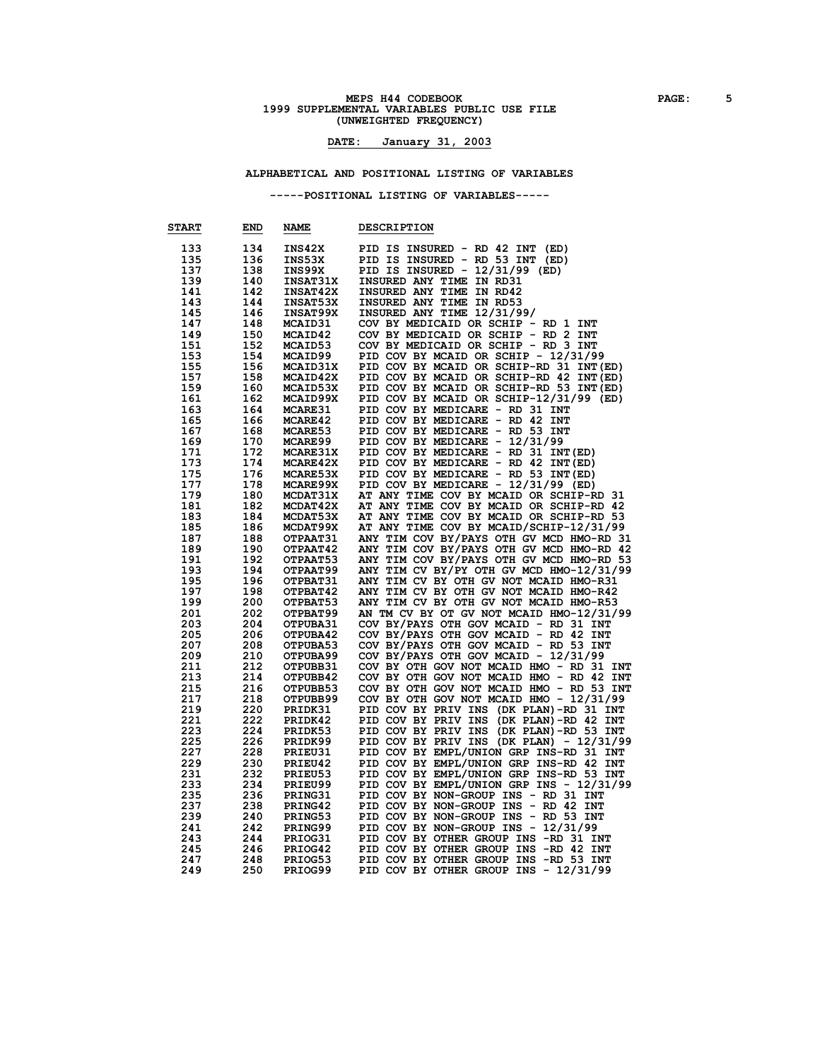# **MEPS H44 CODEBOOK PAGE:** 5<br>1999 SUPPLEMENTAL VARIABLES PUBLIC USE FILE **(UNWEIGHTED FREQUENCY)**

#### **DATE: January 31, 2003**

**ALPHABETICAL AND POSITIONAL LISTING OF VARIABLES**

**-----POSITIONAL LISTING OF VARIABLES-----**

| <b>START</b> | END        | <b>NAME</b>     | <b>DESCRIPTION</b>                       |
|--------------|------------|-----------------|------------------------------------------|
| 133          | 134        | INS42X          | PID IS INSURED - RD 42 INT<br>(ED)       |
| 135          | 136        | INS53X          | PID IS INSURED - RD 53 INT (ED)          |
| 137          | 138        | INS99X          | PID IS INSURED - 12/31/99 (ED)           |
| 139          | 140        | INSAT31X        | INSURED ANY TIME IN RD31                 |
| 141          | 142        | <b>INSAT42X</b> | INSURED ANY TIME IN RD42                 |
| 143          | 144        | <b>INSAT53X</b> | INSURED ANY TIME IN RD53                 |
| 145          | 146        | <b>INSAT99X</b> | INSURED ANY TIME 12/31/99/               |
| 147          | 148        | <b>MCAID31</b>  | COV BY MEDICAID OR SCHIP - RD 1 INT      |
| 149          |            | MCAID42         |                                          |
| 151          | 150<br>152 | MCAID53         | COV BY MEDICAID OR SCHIP - RD 2 INT      |
|              |            |                 | COV BY MEDICAID OR SCHIP - RD 3 INT      |
| 153          | 154        | MCAID99         | PID COV BY MCAID OR SCHIP - 12/31/99     |
| 155          | 156        | MCAID31X        | PID COV BY MCAID OR SCHIP-RD 31 INT (ED) |
| 157          | 158        | MCAID42X        | PID COV BY MCAID OR SCHIP-RD 42 INT (ED) |
| 159          | 160        | MCAID53X        | PID COV BY MCAID OR SCHIP-RD 53 INT (ED) |
| 161          | 162        | MCAID99X        | PID COV BY MCAID OR SCHIP-12/31/99 (ED)  |
| 163          | 164        | <b>MCARE31</b>  | PID COV BY MEDICARE - RD 31 INT          |
| 165          | 166        | MCARE42         | PID COV BY MEDICARE - RD 42 INT          |
| 167          | 168        | MCARE53         | PID COV BY MEDICARE - RD 53 INT          |
| 169          | 170        | <b>MCARE99</b>  | PID COV BY MEDICARE - 12/31/99           |
| 171          | 172        | MCARE31X        | PID COV BY MEDICARE - RD 31 INT (ED)     |
| 173          | 174        | <b>MCARE42X</b> | PID COV BY MEDICARE - RD 42 INT (ED)     |
| 175          | 176        | MCARE53X        | PID COV BY MEDICARE - RD 53 INT (ED)     |
| 177          | 178        | MCARE99X        | PID COV BY MEDICARE - 12/31/99 (ED)      |
| 179          | 180        | MCDAT31X        | AT ANY TIME COV BY MCAID OR SCHIP-RD 31  |
| 181          | 182        | MCDAT42X        | AT ANY TIME COV BY MCAID OR SCHIP-RD 42  |
| 183          | 184        | MCDAT53X        | AT ANY TIME COV BY MCAID OR SCHIP-RD 53  |
| 185          | 186        | MCDAT99X        | AT ANY TIME COV BY MCAID/SCHIP-12/31/99  |
| 187          | 188        | OTPAAT31        | ANY TIM COV BY/PAYS OTH GV MCD HMO-RD 31 |
| 189          | 190        | OTPAAT42        | ANY TIM COV BY/PAYS OTH GV MCD HMO-RD 42 |
| 191          | 192        | OTPAAT53        | ANY TIM COV BY/PAYS OTH GV MCD HMO-RD 53 |
| 193          | 194        | OTPAAT99        | ANY TIM CV BY/PY OTH GV MCD HMO-12/31/99 |
| 195          | 196        | OTPBAT31        | ANY TIM CV BY OTH GV NOT MCAID HMO-R31   |
| 197          | 198        | OTPBAT42        | ANY TIM CV BY OTH GV NOT MCAID HMO-R42   |
| 199          | 200        | OTPBAT53        | ANY TIM CV BY OTH GV NOT MCAID HMO-R53   |
| 201          | 202        | OTPBAT99        | AN TM CV BY OT GV NOT MCAID HMO-12/31/99 |
| 203          | 204        | OTPUBA31        | COV BY/PAYS OTH GOV MCAID - RD 31 INT    |
| 205          | 206        | OTPUBA42        | COV BY/PAYS OTH GOV MCAID - RD 42 INT    |
| 207          | 208        | OTPUBA53        | COV BY/PAYS OTH GOV MCAID - RD 53 INT    |
| 209          | 210        | OTPUBA99        | COV BY/PAYS OTH GOV MCAID - 12/31/99     |
| 211          | 212        | OTPUBB31        | COV BY OTH GOV NOT MCAID HMO - RD 31 INT |
| 213          | 214        | OTPUBB42        | COV BY OTH GOV NOT MCAID HMO - RD 42 INT |
| 215          | 216        | OTPUBB53        | COV BY OTH GOV NOT MCAID HMO - RD 53 INT |
| 217          | 218        | OTPUBB99        | COV BY OTH GOV NOT MCAID HMO - 12/31/99  |
| 219          | 220        | PRIDK31         | PID COV BY PRIV INS (DK PLAN)-RD 31 INT  |
| 221          | 222        | PRIDK42         | PID COV BY PRIV INS (DK PLAN)-RD 42 INT  |
| 223          | 224        | PRIDK53         | PID COV BY PRIV INS (DK PLAN)-RD 53 INT  |
| 225          | 226        | PRIDK99         | PID COV BY PRIV INS (DK PLAN) - 12/31/99 |
| 227          | 228        | PRIEU31         | PID COV BY EMPL/UNION GRP INS-RD 31 INT  |
| 229          | 230        | PRIEU42         | PID COV BY EMPL/UNION GRP INS-RD 42 INT  |
| 231          | 232        | PRIEU53         | PID COV BY EMPL/UNION GRP INS-RD 53 INT  |
| 233          | 234        | PRIEU99         | PID COV BY EMPL/UNION GRP INS - 12/31/99 |
| 235          | 236        | PRING31         | PID COV BY NON-GROUP INS - RD 31 INT     |
| 237          | 238        | PRING42         | PID COV BY NON-GROUP INS - RD 42 INT     |
| 239          | 240        | PRING53         | PID COV BY NON-GROUP INS - RD 53 INT     |
| 241          | 242        | PRING99         | PID COV BY NON-GROUP INS - 12/31/99      |
| 243          | 244        | PRIOG31         | PID COV BY OTHER GROUP INS -RD 31 INT    |
| 245          | 246        | PRIOG42         | PID COV BY OTHER GROUP INS -RD 42 INT    |
| 247          | 248        | PRIOG53         | PID COV BY OTHER GROUP INS -RD 53 INT    |
| 249          | 250        | PRIOG99         | PID COV BY OTHER GROUP INS - 12/31/99    |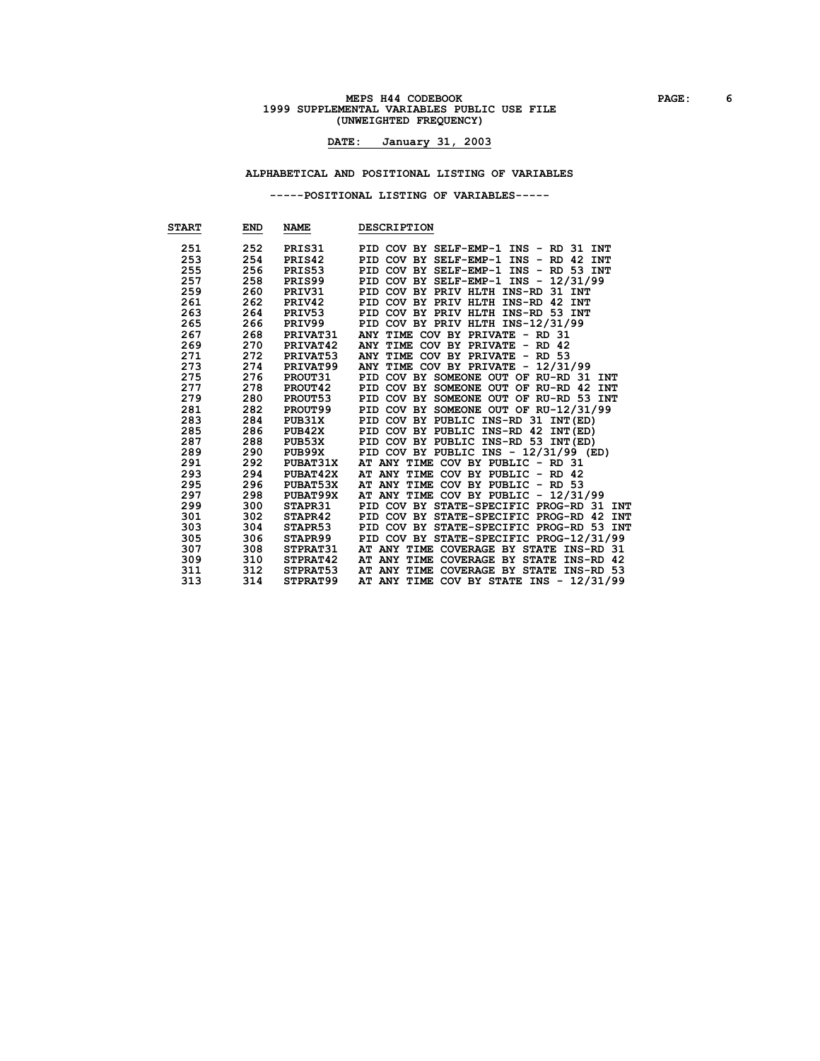# **MEPS H44 CODEBOOK PAGE: 6**<br>1999 SUPPLEMENTAL VARIABLES PUBLIC USE FILE **(UNWEIGHTED FREQUENCY)**

### **DATE: January 31, 2003**

**ALPHABETICAL AND POSITIONAL LISTING OF VARIABLES**

**-----POSITIONAL LISTING OF VARIABLES-----**

| <b>START</b> | END | <b>NAME</b>     | <b>DESCRIPTION</b>                       |
|--------------|-----|-----------------|------------------------------------------|
| 251          | 252 | PRIS31          | PID COV BY SELF-EMP-1 INS - RD 31 INT    |
| 253          | 254 | PRIS42          | PID COV BY SELF-EMP-1 INS - RD 42 INT    |
| 255          | 256 | PRIS53          | PID COV BY SELF-EMP-1 INS - RD 53 INT    |
| 257          | 258 | PRIS99          | PID COV BY SELF-EMP-1 INS - 12/31/99     |
| 259          | 260 | PRIV31          | PID COV BY PRIV HLTH INS-RD 31 INT       |
| 261          | 262 | PRIV42          | PID COV BY PRIV HLTH INS-RD 42 INT       |
| 263          | 264 | PRIV53          | PID COV BY PRIV HLTH INS-RD 53 INT       |
| 265          | 266 | PRIV99          | PID COV BY PRIV HLTH INS-12/31/99        |
| 267          | 268 | <b>PRIVAT31</b> | ANY TIME COV BY PRIVATE - RD 31          |
| 269          | 270 | <b>PRIVAT42</b> | ANY TIME COV BY PRIVATE - RD 42          |
| 271          | 272 | <b>PRIVAT53</b> | ANY TIME COV BY PRIVATE - RD 53          |
| 273          |     | 274 PRIVAT99    | ANY TIME COV BY PRIVATE - 12/31/99       |
| 275          | 276 | <b>PROUT31</b>  | PID COV BY SOMEONE OUT OF RU-RD 31 INT   |
| 277          | 278 | PROUT42         | PID COV BY SOMEONE OUT OF RU-RD 42 INT   |
| 279          | 280 | <b>PROUT53</b>  | PID COV BY SOMEONE OUT OF RU-RD 53 INT   |
| 281          | 282 | <b>PROUT99</b>  | PID COV BY SOMEONE OUT OF RU-12/31/99    |
| 283          | 284 | <b>PUB31X</b>   | PID COV BY PUBLIC INS-RD 31 INT (ED)     |
| 285          | 286 | PUB42X          | PID COV BY PUBLIC INS-RD 42 INT(ED)      |
| 287          | 288 | PUB53X          | PID COV BY PUBLIC INS-RD 53 INT (ED)     |
| 289          | 290 | PUB99X          | PID COV BY PUBLIC INS - 12/31/99 (ED)    |
| 291          | 292 | <b>PUBAT31X</b> | AT ANY TIME COV BY PUBLIC - RD 31        |
| 293          | 294 | <b>PUBAT42X</b> | AT ANY TIME COV BY PUBLIC - RD 42        |
| 295          | 296 | <b>PUBAT53X</b> | AT ANY TIME COV BY PUBLIC - RD 53        |
| 297          | 298 | <b>PUBAT99X</b> | AT ANY TIME COV BY PUBLIC - 12/31/99     |
| 299          | 300 | STAPR31         | PID COV BY STATE-SPECIFIC PROG-RD 31 INT |
| 301          | 302 | STAPR42         | PID COV BY STATE-SPECIFIC PROG-RD 42 INT |
| 303          | 304 | STAPR53         | PID COV BY STATE-SPECIFIC PROG-RD 53 INT |
| 305          | 306 | <b>STAPR99</b>  | PID COV BY STATE-SPECIFIC PROG-12/31/99  |
| 307          | 308 | <b>STPRAT31</b> | AT ANY TIME COVERAGE BY STATE INS-RD 31  |
| 309          | 310 | STPRAT42        | AT ANY TIME COVERAGE BY STATE INS-RD 42  |
| 311          | 312 | <b>STPRAT53</b> | AT ANY TIME COVERAGE BY STATE INS-RD 53  |
| 313          | 314 | <b>STPRAT99</b> | AT ANY TIME COV BY STATE INS - 12/31/99  |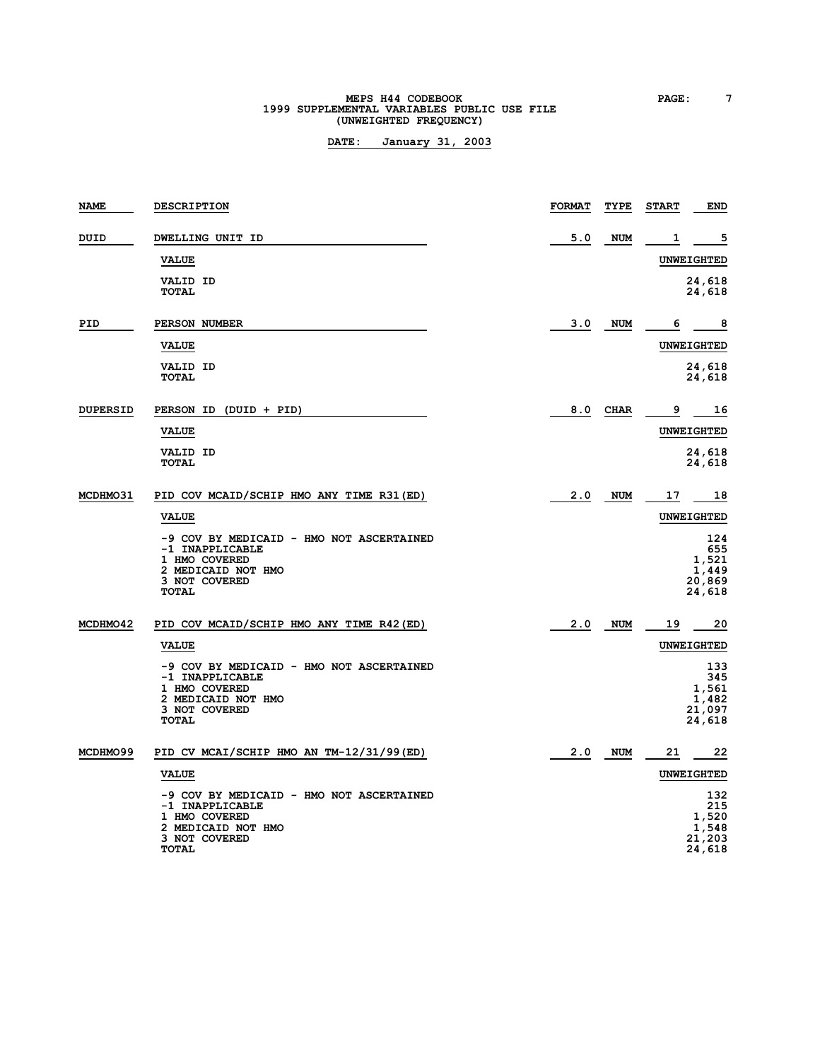# **MEPS H44 CODEBOOK PAGE: 7**<br>1999 SUPPLEMENTAL VARIABLES PUBLIC USE FILE **(UNWEIGHTED FREQUENCY)**

| NAME            | <b>DESCRIPTION</b>                                                                                                                  | <b>FORMAT</b> | TYPE        | <b>START</b> | END                                              |
|-----------------|-------------------------------------------------------------------------------------------------------------------------------------|---------------|-------------|--------------|--------------------------------------------------|
| DUID            | DWELLING UNIT ID                                                                                                                    | 5.0           | <b>NUM</b>  | 1            | 5                                                |
|                 | <b>VALUE</b>                                                                                                                        |               |             |              | <b>UNWEIGHTED</b>                                |
|                 | <b>VALID ID</b><br><b>TOTAL</b>                                                                                                     |               |             |              | 24,618<br>24,618                                 |
| PID             | PERSON NUMBER                                                                                                                       | 3.0           | <b>NUM</b>  | 6            | 8                                                |
|                 | <b>VALUE</b>                                                                                                                        |               |             |              | <b>UNWEIGHTED</b>                                |
|                 | VALID ID<br><b>TOTAL</b>                                                                                                            |               |             |              | 24,618<br>24,618                                 |
| <b>DUPERSID</b> | PERSON ID (DUID + PID)                                                                                                              | 8.0           | <b>CHAR</b> | 9            | 16                                               |
|                 | <b>VALUE</b>                                                                                                                        |               |             |              | <b>UNWEIGHTED</b>                                |
|                 | <b>VALID ID</b><br><b>TOTAL</b>                                                                                                     |               |             |              | 24,618<br>24,618                                 |
| MCDHM031        | PID COV MCAID/SCHIP HMO ANY TIME R31 (ED)                                                                                           | 2.0           | NUM         | 17           | 18                                               |
|                 | <b>VALUE</b>                                                                                                                        |               |             |              | <b>UNWEIGHTED</b>                                |
|                 | -9 COV BY MEDICAID - HMO NOT ASCERTAINED<br>-1 INAPPLICABLE<br>1 HMO COVERED<br>2 MEDICAID NOT HMO<br>3 NOT COVERED<br>TOTAL        |               |             |              | 124<br>655<br>1,521<br>1,449<br>20,869<br>24,618 |
| MCDHMO42        | PID COV MCAID/SCHIP HMO ANY TIME R42 (ED)                                                                                           | 2.0           | <b>NUM</b>  | 19           | 20                                               |
|                 | <b>VALUE</b>                                                                                                                        |               |             |              | <b>UNWEIGHTED</b>                                |
|                 | -9 COV BY MEDICAID - HMO NOT ASCERTAINED<br>-1 INAPPLICABLE<br>1 HMO COVERED<br>2 MEDICAID NOT HMO<br>3 NOT COVERED<br><b>TOTAL</b> |               |             |              | 133<br>345<br>1,561<br>1,482<br>21,097<br>24,618 |
| MCDHMO99        | PID CV MCAI/SCHIP HMO AN TM-12/31/99(ED)                                                                                            | 2.0           | <b>NUM</b>  | 21           | 22                                               |
|                 | <b>VALUE</b>                                                                                                                        |               |             |              | <b>UNWEIGHTED</b>                                |
|                 | -9 COV BY MEDICAID - HMO NOT ASCERTAINED<br>-1 INAPPLICABLE<br>1 HMO COVERED<br>2 MEDICAID NOT HMO<br>3 NOT COVERED<br><b>TOTAL</b> |               |             |              | 132<br>215<br>1,520<br>1,548<br>21,203<br>24,618 |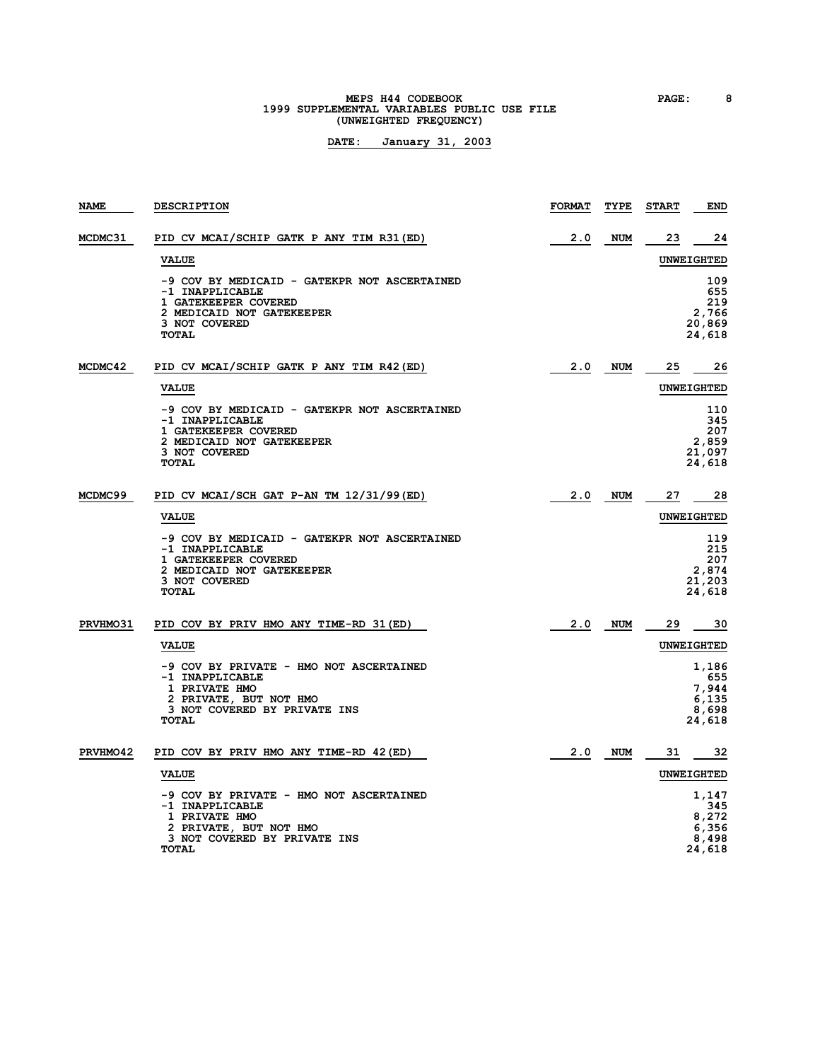# **MEPS H44 CODEBOOK PAGE:** 8<br> **1999 SUPPLEMENTAL VARIABLES PUBLIC USE FILE (UNWEIGHTED FREQUENCY)**

| NAME           | <b>DESCRIPTION</b>                                                                                                                                    | <b>FORMAT</b> | TYPE       | <b>START</b> | <b>END</b>                                        |
|----------------|-------------------------------------------------------------------------------------------------------------------------------------------------------|---------------|------------|--------------|---------------------------------------------------|
| <b>MCDMC31</b> | PID CV MCAI/SCHIP GATK P ANY TIM R31 (ED)                                                                                                             | 2.0           | <b>NUM</b> | 23           | 24                                                |
|                | <b>VALUE</b>                                                                                                                                          |               |            |              | <b>UNWEIGHTED</b>                                 |
|                | -9 COV BY MEDICAID - GATEKPR NOT ASCERTAINED<br>-1 INAPPLICABLE<br>1 GATEKEEPER COVERED<br>2 MEDICAID NOT GATEKEEPER<br>3 NOT COVERED<br><b>TOTAL</b> |               |            |              | 109<br>655<br>219<br>2,766<br>20,869<br>24,618    |
| <b>MCDMC42</b> | PID CV MCAI/SCHIP GATK P ANY TIM R42 (ED)                                                                                                             | 2.0           | NUM        | 25           | 26                                                |
|                | <b>VALUE</b>                                                                                                                                          |               |            |              | UNWEIGHTED                                        |
|                | -9 COV BY MEDICAID - GATEKPR NOT ASCERTAINED<br>-1 INAPPLICABLE<br>1 GATEKEEPER COVERED<br>2 MEDICAID NOT GATEKEEPER<br>3 NOT COVERED<br><b>TOTAL</b> |               |            |              | 110<br>345<br>207<br>2,859<br>21,097<br>24,618    |
| MCDMC99        | PID CV MCAI/SCH GAT P-AN TM 12/31/99 (ED)                                                                                                             | 2.0           | NUM        | 27           | 28                                                |
|                | <b>VALUE</b>                                                                                                                                          |               |            |              | <b>UNWEIGHTED</b>                                 |
|                | -9 COV BY MEDICAID - GATEKPR NOT ASCERTAINED<br>-1 INAPPLICABLE<br>1 GATEKEEPER COVERED<br>2 MEDICAID NOT GATEKEEPER<br>3 NOT COVERED<br><b>TOTAL</b> |               |            |              | 119<br>215<br>207<br>2,874<br>21,203<br>24,618    |
| PRVHMO31       | PID COV BY PRIV HMO ANY TIME-RD 31 (ED)                                                                                                               | 2.0           | NUM        | 29           | 30                                                |
|                | <b>VALUE</b>                                                                                                                                          |               |            |              | <b>UNWEIGHTED</b>                                 |
|                | -9 COV BY PRIVATE - HMO NOT ASCERTAINED<br>-1 INAPPLICABLE<br>1 PRIVATE HMO<br>2 PRIVATE, BUT NOT HMO<br>3 NOT COVERED BY PRIVATE INS<br><b>TOTAL</b> |               |            |              | 1,186<br>655<br>7,944<br>6,135<br>8,698<br>24,618 |
| PRVHMO42       | PID COV BY PRIV HMO ANY TIME-RD 42 (ED)                                                                                                               | 2.0           | <b>NUM</b> | 31           | 32                                                |
|                | <b>VALUE</b>                                                                                                                                          |               |            |              | <b>UNWEIGHTED</b>                                 |
|                | -9 COV BY PRIVATE - HMO NOT ASCERTAINED<br>-1 INAPPLICABLE<br>1 PRIVATE HMO<br>2 PRIVATE, BUT NOT HMO<br>3 NOT COVERED BY PRIVATE INS<br><b>TOTAL</b> |               |            |              | 1,147<br>345<br>8,272<br>6,356<br>8,498<br>24,618 |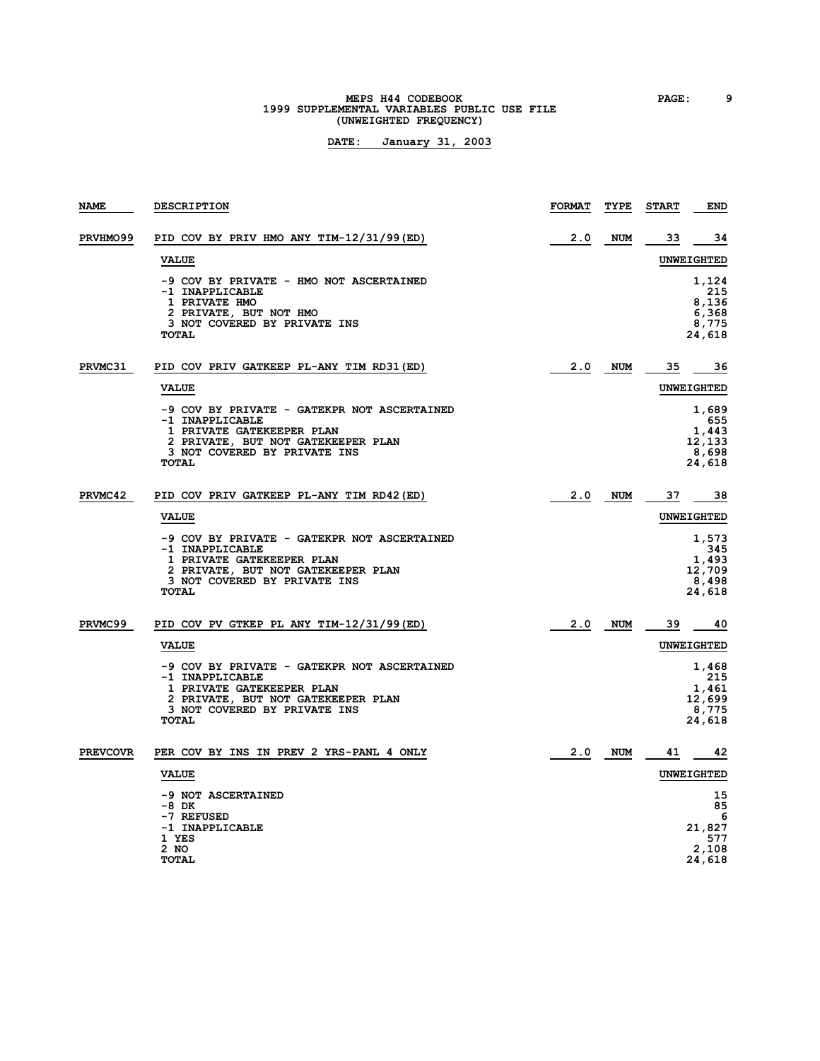# **MEPS H44 CODEBOOK PAGE: 9**<br>1999 SUPPLEMENTAL VARIABLES PUBLIC USE FILE **(UNWEIGHTED FREQUENCY)**

| NAME            | <b>DESCRIPTION</b>                                                                                                                                                                | <b>FORMAT</b> | TYPE       | <b>START</b>      | END                                                |
|-----------------|-----------------------------------------------------------------------------------------------------------------------------------------------------------------------------------|---------------|------------|-------------------|----------------------------------------------------|
| PRVHMO99        | PID COV BY PRIV HMO ANY TIM-12/31/99 (ED)                                                                                                                                         | 2.0           | <b>NUM</b> | 33                | 34                                                 |
|                 | <b>VALUE</b>                                                                                                                                                                      |               |            | <b>UNWEIGHTED</b> |                                                    |
|                 | -9 COV BY PRIVATE - HMO NOT ASCERTAINED<br>-1 INAPPLICABLE<br>1 PRIVATE HMO<br>2 PRIVATE, BUT NOT HMO<br>3 NOT COVERED BY PRIVATE INS<br><b>TOTAL</b>                             |               |            |                   | 1,124<br>215<br>8,136<br>6,368<br>8,775<br>24,618  |
| PRVMC31         | PID COV PRIV GATKEEP PL-ANY TIM RD31 (ED)                                                                                                                                         | 2.0           | NUM        | 35                | 36                                                 |
|                 | <b>VALUE</b>                                                                                                                                                                      |               |            |                   | <b>UNWEIGHTED</b>                                  |
|                 | -9 COV BY PRIVATE - GATEKPR NOT ASCERTAINED<br>-1 INAPPLICABLE<br>1 PRIVATE GATEKEEPER PLAN<br>2 PRIVATE, BUT NOT GATEKEEPER PLAN<br>3 NOT COVERED BY PRIVATE INS<br>TOTAL        |               |            |                   | 1,689<br>655<br>1,443<br>12,133<br>8,698<br>24,618 |
| PRVMC42         | PID COV PRIV GATKEEP PL-ANY TIM RD42 (ED)                                                                                                                                         | 2.0           | NUM        | 37                | -38                                                |
|                 | <b>VALUE</b>                                                                                                                                                                      |               |            |                   | UNWEIGHTED                                         |
|                 | -9 COV BY PRIVATE - GATEKPR NOT ASCERTAINED<br>-1 INAPPLICABLE<br>1 PRIVATE GATEKEEPER PLAN<br>2 PRIVATE, BUT NOT GATEKEEPER PLAN<br>3 NOT COVERED BY PRIVATE INS<br><b>TOTAL</b> |               |            |                   | 1,573<br>345<br>1,493<br>12,709<br>8,498<br>24,618 |
| PRVMC99         | PID COV PV GTKEP PL ANY TIM-12/31/99(ED)                                                                                                                                          | 2.0           | NUM        | 39                | 40                                                 |
|                 | <b>VALUE</b>                                                                                                                                                                      |               |            |                   | <b>UNWEIGHTED</b>                                  |
|                 | -9 COV BY PRIVATE - GATEKPR NOT ASCERTAINED<br>-1 INAPPLICABLE<br>1 PRIVATE GATEKEEPER PLAN<br>2 PRIVATE, BUT NOT GATEKEEPER PLAN<br>3 NOT COVERED BY PRIVATE INS<br><b>TOTAL</b> |               |            |                   | 1,468<br>215<br>1,461<br>12,699<br>8,775<br>24,618 |
| <b>PREVCOVR</b> | PER COV BY INS IN PREV 2 YRS-PANL 4 ONLY                                                                                                                                          | 2.0           | <b>NUM</b> | 41                | 42                                                 |
|                 | <b>VALUE</b>                                                                                                                                                                      |               |            |                   | UNWEIGHTED                                         |
|                 | -9 NOT ASCERTAINED<br>-8 DK<br>-7 REFUSED<br>-1 INAPPLICABLE<br>1 YES<br>2 NO<br><b>TOTAL</b>                                                                                     |               |            |                   | 15<br>85<br>6<br>21,827<br>577<br>2,108<br>24,618  |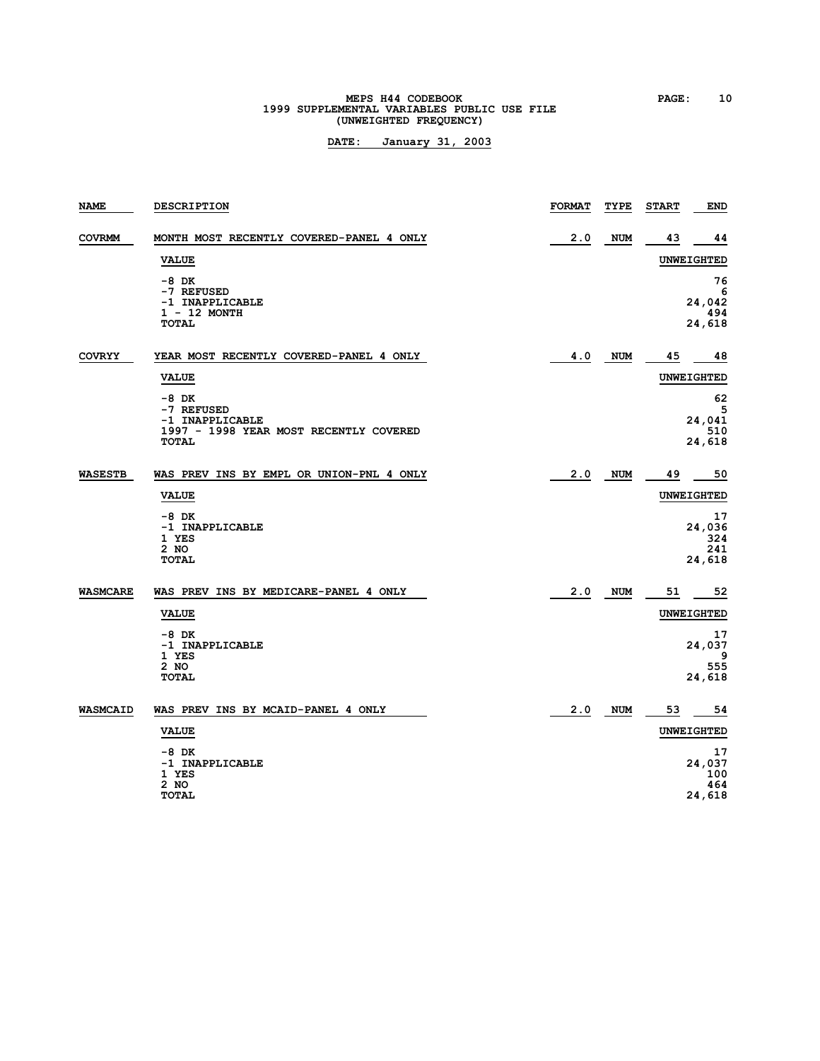# **MEPS H44 CODEBOOK PAGE: 10**<br>1999 SUPPLEMENTAL VARIABLES PUBLIC USE FILE **(UNWEIGHTED FREQUENCY)**

| NAME            | <b>DESCRIPTION</b>                                                                          | <b>FORMAT</b> | TYPE       | <b>START</b> | <b>END</b>                           |
|-----------------|---------------------------------------------------------------------------------------------|---------------|------------|--------------|--------------------------------------|
| <b>COVRMM</b>   | MONTH MOST RECENTLY COVERED-PANEL 4 ONLY                                                    | 2.0           | <b>NUM</b> | 43           | 44                                   |
|                 | <b>VALUE</b>                                                                                |               |            |              | <b>UNWEIGHTED</b>                    |
|                 | $-8$ DK<br>-7 REFUSED<br>-1 INAPPLICABLE<br>$1 - 12$ MONTH<br><b>TOTAL</b>                  |               |            |              | 76<br>6<br>24,042<br>494<br>24,618   |
| <b>COVRYY</b>   | YEAR MOST RECENTLY COVERED-PANEL 4 ONLY                                                     | 4.0           | NUM        | 45           | 48                                   |
|                 | <b>VALUE</b>                                                                                |               |            |              | <b>UNWEIGHTED</b>                    |
|                 | $-8$ DK<br>-7 REFUSED<br>-1 INAPPLICABLE<br>1997 - 1998 YEAR MOST RECENTLY COVERED<br>TOTAL |               |            |              | 62<br>5<br>24,041<br>510<br>24,618   |
| <b>WASESTB</b>  | WAS PREV INS BY EMPL OR UNION-PNL 4 ONLY                                                    | 2.0           | <b>NUM</b> | 49           | 50                                   |
|                 | <b>VALUE</b>                                                                                |               |            |              | <b>UNWEIGHTED</b>                    |
|                 | $-8$ DK<br>-1 INAPPLICABLE<br>1 YES<br>$2$ NO<br><b>TOTAL</b>                               |               |            |              | 17<br>24,036<br>324<br>241<br>24,618 |
| <b>WASMCARE</b> | WAS PREV INS BY MEDICARE-PANEL 4 ONLY                                                       | 2.0           | <b>NUM</b> | 51           | 52                                   |
|                 | <b>VALUE</b>                                                                                |               |            |              | <b>UNWEIGHTED</b>                    |
|                 | $-8$ DK<br>-1 INAPPLICABLE<br>1 YES<br>2 NO<br><b>TOTAL</b>                                 |               |            |              | 17<br>24,037<br>9<br>555<br>24,618   |
| <b>WASMCAID</b> | WAS PREV INS BY MCAID-PANEL 4 ONLY                                                          | 2.0           | <b>NUM</b> | 53           | 54                                   |
|                 | <b>VALUE</b>                                                                                |               |            |              | <b>UNWEIGHTED</b>                    |
|                 | $-8$ DK<br>-1 INAPPLICABLE<br>1 YES<br>2 NO<br><b>TOTAL</b>                                 |               |            |              | 17<br>24,037<br>100<br>464<br>24,618 |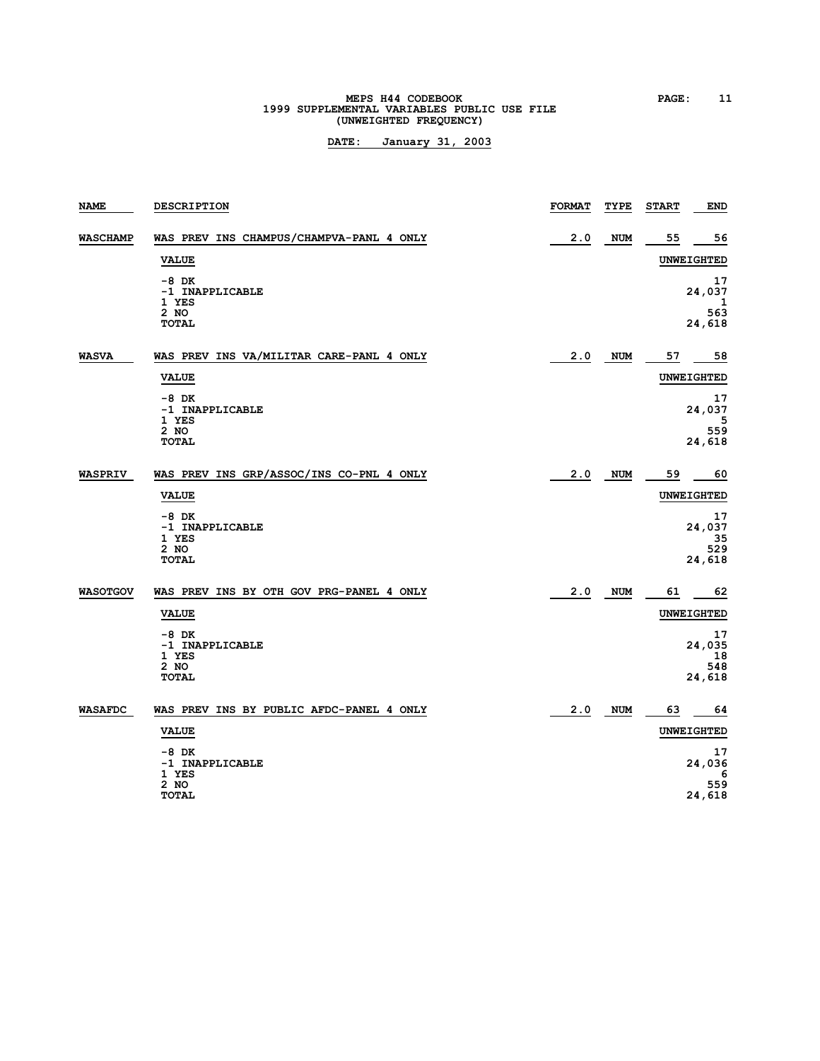# **MEPS H44 CODEBOOK PAGE: 11**<br> **1999 SUPPLEMENTAL VARIABLES PUBLIC USE FILE (UNWEIGHTED FREQUENCY)**

| <b>NAME</b>     | <b>DESCRIPTION</b>                                          | <b>FORMAT</b> | TYPE       | <b>START</b> | <b>END</b>                          |
|-----------------|-------------------------------------------------------------|---------------|------------|--------------|-------------------------------------|
| <b>WASCHAMP</b> | WAS PREV INS CHAMPUS/CHAMPVA-PANL 4 ONLY                    | 2.0           | <b>NUM</b> | 55           | 56                                  |
|                 | <b>VALUE</b>                                                |               |            |              | <b>UNWEIGHTED</b>                   |
|                 | $-8$ DK<br>-1 INAPPLICABLE<br>1 YES<br>2 NO<br><b>TOTAL</b> |               |            |              | 17<br>24,037<br>ı<br>563<br>24,618  |
| <b>WASVA</b>    | WAS PREV INS VA/MILITAR CARE-PANL 4 ONLY                    | 2.0           | NUM        | 57           | 58                                  |
|                 | <b>VALUE</b>                                                |               |            |              | <b>UNWEIGHTED</b>                   |
|                 | $-8$ DK<br>-1 INAPPLICABLE<br>1 YES<br>2 NO<br><b>TOTAL</b> |               |            |              | 17<br>24,037<br>5<br>559<br>24,618  |
| <b>WASPRIV</b>  | WAS PREV INS GRP/ASSOC/INS CO-PNL 4 ONLY                    | 2.0           | <b>NUM</b> | 59           | 60                                  |
|                 | <b>VALUE</b>                                                |               |            |              | <b>UNWEIGHTED</b>                   |
|                 | $-8$ DK<br>-1 INAPPLICABLE<br>1 YES<br>2 NO<br><b>TOTAL</b> |               |            |              | 17<br>24,037<br>35<br>529<br>24,618 |
| <b>WASOTGOV</b> | WAS PREV INS BY OTH GOV PRG-PANEL 4 ONLY                    | 2.0           | <b>NUM</b> | 61           | 62                                  |
|                 | <b>VALUE</b>                                                |               |            |              | <b>UNWEIGHTED</b>                   |
|                 | $-8$ DK<br>-1 INAPPLICABLE<br>1 YES<br>2 NO<br><b>TOTAL</b> |               |            |              | 17<br>24,035<br>18<br>548<br>24,618 |
| <b>WASAFDC</b>  | WAS PREV INS BY PUBLIC AFDC-PANEL 4 ONLY                    | 2.0           | NUM        | 63           | 64                                  |
|                 | <b>VALUE</b>                                                |               |            |              | <b>UNWEIGHTED</b>                   |
|                 | $-8$ DK<br>-1 INAPPLICABLE<br>1 YES                         |               |            |              | 17<br>24,036<br>6                   |
|                 | 2 NO<br><b>TOTAL</b>                                        |               |            |              | 559<br>24,618                       |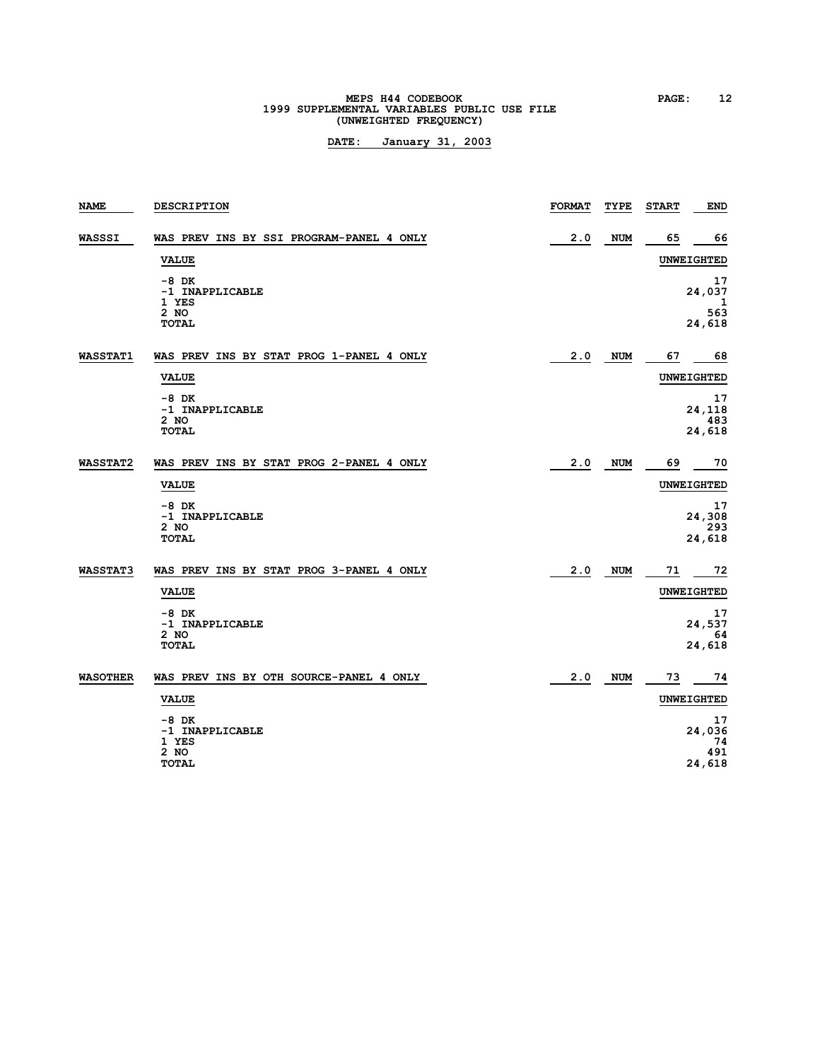# **MEPS H44 CODEBOOK PAGE:** 12<br> **1999 SUPPLEMENTAL VARIABLES PUBLIC USE FILE (UNWEIGHTED FREQUENCY)**

| <b>NAME</b>     | <b>DESCRIPTION</b>                                                                                                     | <b>FORMAT</b> | TYPE       | <b>START</b><br><b>END</b>                                           |
|-----------------|------------------------------------------------------------------------------------------------------------------------|---------------|------------|----------------------------------------------------------------------|
| WASSSI          | WAS PREV INS BY SSI PROGRAM-PANEL 4 ONLY<br><b>VALUE</b>                                                               | 2.0           | <b>NUM</b> | 65<br>66<br><b>UNWEIGHTED</b>                                        |
|                 | $-8$ DK<br>-1 INAPPLICABLE<br>1 YES<br>2 NO<br><b>TOTAL</b>                                                            |               |            | 17<br>24,037<br>1<br>563<br>24,618                                   |
| <b>WASSTAT1</b> | WAS PREV INS BY STAT PROG 1-PANEL 4 ONLY<br><b>VALUE</b><br>$-8$ DK<br>-1 INAPPLICABLE<br>2 NO<br>TOTAL                | 2.0           | NUM        | 67<br>68<br><b>UNWEIGHTED</b><br>17<br>24,118<br>483<br>24,618       |
| <b>WASSTAT2</b> | WAS PREV INS BY STAT PROG 2-PANEL 4 ONLY<br><b>VALUE</b><br>$-8$ DK<br>-1 INAPPLICABLE<br>2 NO<br><b>TOTAL</b>         | 2.0           | <b>NUM</b> | 69<br>70<br><b>UNWEIGHTED</b><br>17<br>24,308<br>293<br>24,618       |
| <b>WASSTAT3</b> | WAS PREV INS BY STAT PROG 3-PANEL 4 ONLY<br><b>VALUE</b><br>$-8$ DK<br>-1 INAPPLICABLE<br>2 NO<br><b>TOTAL</b>         | 2.0           | <b>NUM</b> | 71<br>- 72<br><b>UNWEIGHTED</b><br>17<br>24,537<br>64<br>24,618      |
| <b>WASOTHER</b> | WAS PREV INS BY OTH SOURCE-PANEL 4 ONLY<br><b>VALUE</b><br>$-8$ DK<br>-1 INAPPLICABLE<br>1 YES<br>2 NO<br><b>TOTAL</b> | 2.0           | <b>NUM</b> | 74<br>73<br><b>UNWEIGHTED</b><br>17<br>24,036<br>74<br>491<br>24,618 |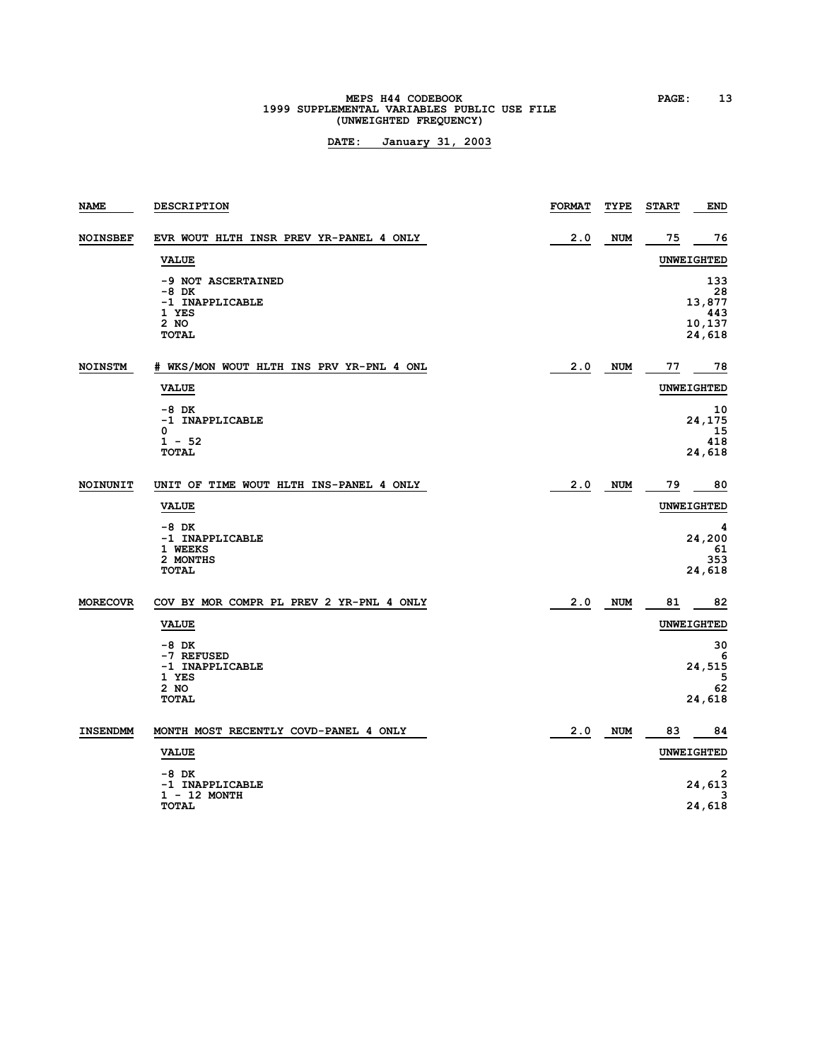# **MEPS H44 CODEBOOK PAGE: 13**<br>1999 SUPPLEMENTAL VARIABLES PUBLIC USE FILE **(UNWEIGHTED FREQUENCY)**

| <b>NAME</b>     | <b>DESCRIPTION</b>                                                                | <b>FORMAT</b> | TYPE       | <b>START</b> | <b>END</b>                                     |
|-----------------|-----------------------------------------------------------------------------------|---------------|------------|--------------|------------------------------------------------|
| <b>NOINSBEF</b> | EVR WOUT HLTH INSR PREV YR-PANEL 4 ONLY                                           | 2.0           | <b>NUM</b> | 75           | 76                                             |
|                 | <b>VALUE</b>                                                                      |               |            |              | <b>UNWEIGHTED</b>                              |
|                 | -9 NOT ASCERTAINED<br>$-8$ DK<br>-1 INAPPLICABLE<br>1 YES<br>2 NO<br><b>TOTAL</b> |               |            |              | 133<br>28<br>13,877<br>443<br>10,137<br>24,618 |
| <b>NOINSTM</b>  | # WKS/MON WOUT HLTH INS PRV YR-PNL 4 ONL                                          | 2.0           | NUM        | 77           | 78                                             |
|                 | <b>VALUE</b>                                                                      |               |            |              | UNWEIGHTED                                     |
|                 | $-8$ DK<br>-1 INAPPLICABLE<br>0<br>$1 - 52$<br><b>TOTAL</b>                       |               |            |              | 10<br>24,175<br>15<br>418<br>24,618            |
| NOINUNIT        | UNIT OF TIME WOUT HLTH INS-PANEL 4 ONLY                                           | 2.0           | <b>NUM</b> | 79           | 80                                             |
|                 | <b>VALUE</b>                                                                      |               |            |              | <b>UNWEIGHTED</b>                              |
|                 | $-8$ DK<br>-1 INAPPLICABLE<br>1 WEEKS<br>2 MONTHS<br><b>TOTAL</b>                 |               |            |              | 4<br>24,200<br>61<br>353<br>24,618             |
| <b>MORECOVR</b> | COV BY MOR COMPR PL PREV 2 YR-PNL 4 ONLY                                          | 2.0           | <b>NUM</b> | 81           | 82                                             |
|                 | <b>VALUE</b>                                                                      |               |            |              | UNWEIGHTED                                     |
|                 | $-8$ DK<br>-7 REFUSED<br>-1 INAPPLICABLE<br>1 YES<br>2 NO                         |               |            |              | 30<br>6<br>24,515<br>5<br>62                   |
|                 | <b>TOTAL</b>                                                                      |               |            |              | 24,618                                         |
| <b>INSENDMM</b> | MONTH MOST RECENTLY COVD-PANEL 4 ONLY                                             | 2.0           | <b>NUM</b> | 83           | 84                                             |
|                 | <b>VALUE</b>                                                                      |               |            |              | <b>UNWEIGHTED</b>                              |
|                 | -8 DK<br>-1 INAPPLICABLE                                                          |               |            |              | $\overline{2}$<br>24,613                       |
|                 | $1 - 12$ MONTH<br><b>TOTAL</b>                                                    |               |            |              | 3<br>24,618                                    |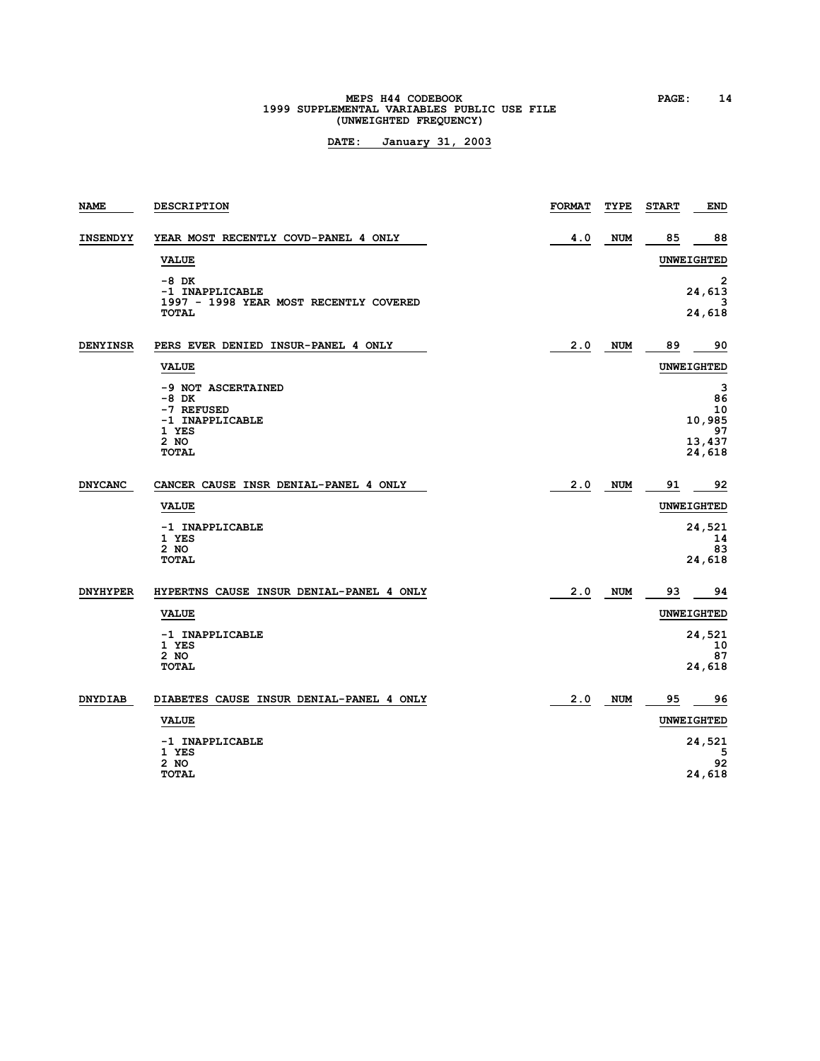# **MEPS H44 CODEBOOK PAGE: 14**<br>1999 SUPPLEMENTAL VARIABLES PUBLIC USE FILE **(UNWEIGHTED FREQUENCY)**

| <b>NAME</b>     | <b>DESCRIPTION</b>                                                                                | <b>FORMAT</b> | TYPE       | <b>END</b><br><b>START</b> |                     |
|-----------------|---------------------------------------------------------------------------------------------------|---------------|------------|----------------------------|---------------------|
| <b>INSENDYY</b> | YEAR MOST RECENTLY COVD-PANEL 4 ONLY                                                              | 4.0           | <b>NUM</b> | 85                         | 88                  |
|                 | <b>VALUE</b>                                                                                      |               |            | <b>UNWEIGHTED</b>          |                     |
|                 | $-8$ DK<br>-1 INAPPLICABLE<br>1997 - 1998 YEAR MOST RECENTLY COVERED<br><b>TOTAL</b>              |               |            | 24,613<br>24,618           | 2                   |
| <b>DENYINSR</b> | PERS EVER DENIED INSUR-PANEL 4 ONLY                                                               | 2.0           | <b>NUM</b> | 89                         | 90                  |
|                 | <b>VALUE</b>                                                                                      |               |            | <b>UNWEIGHTED</b>          |                     |
|                 | -9 NOT ASCERTAINED<br>$-8$ DK<br>-7 REFUSED<br>-1 INAPPLICABLE<br>1 YES<br>$2$ NO<br><b>TOTAL</b> |               |            | 10,985<br>13,437<br>24,618 | 3<br>86<br>10<br>97 |
| <b>DNYCANC</b>  | CANCER CAUSE INSR DENIAL-PANEL 4 ONLY                                                             | 2.0           | <b>NUM</b> | 91                         | 92                  |
|                 | <b>VALUE</b>                                                                                      |               |            | <b>UNWEIGHTED</b>          |                     |
|                 | -1 INAPPLICABLE<br>1 YES<br>2 NO<br><b>TOTAL</b>                                                  |               |            | 24,521<br>24,618           | 14<br>83            |
| <b>DNYHYPER</b> | HYPERTNS CAUSE INSUR DENIAL-PANEL 4 ONLY                                                          | 2.0           | <b>NUM</b> | 93                         | 94                  |
|                 | <b>VALUE</b>                                                                                      |               |            | <b>UNWEIGHTED</b>          |                     |
|                 | -1 INAPPLICABLE<br>1 YES<br>2 NO<br><b>TOTAL</b>                                                  |               |            | 24,521<br>24,618           | 10<br>87            |
| <b>DNYDIAB</b>  | DIABETES CAUSE INSUR DENIAL-PANEL 4 ONLY                                                          | 2.0           | <b>NUM</b> | 95                         | 96                  |
|                 | <b>VALUE</b>                                                                                      |               |            | <b>UNWEIGHTED</b>          |                     |
|                 | -1 INAPPLICABLE<br>1 YES<br>2 NO<br><b>TOTAL</b>                                                  |               |            | 24,521<br>24,618           | 5<br>92             |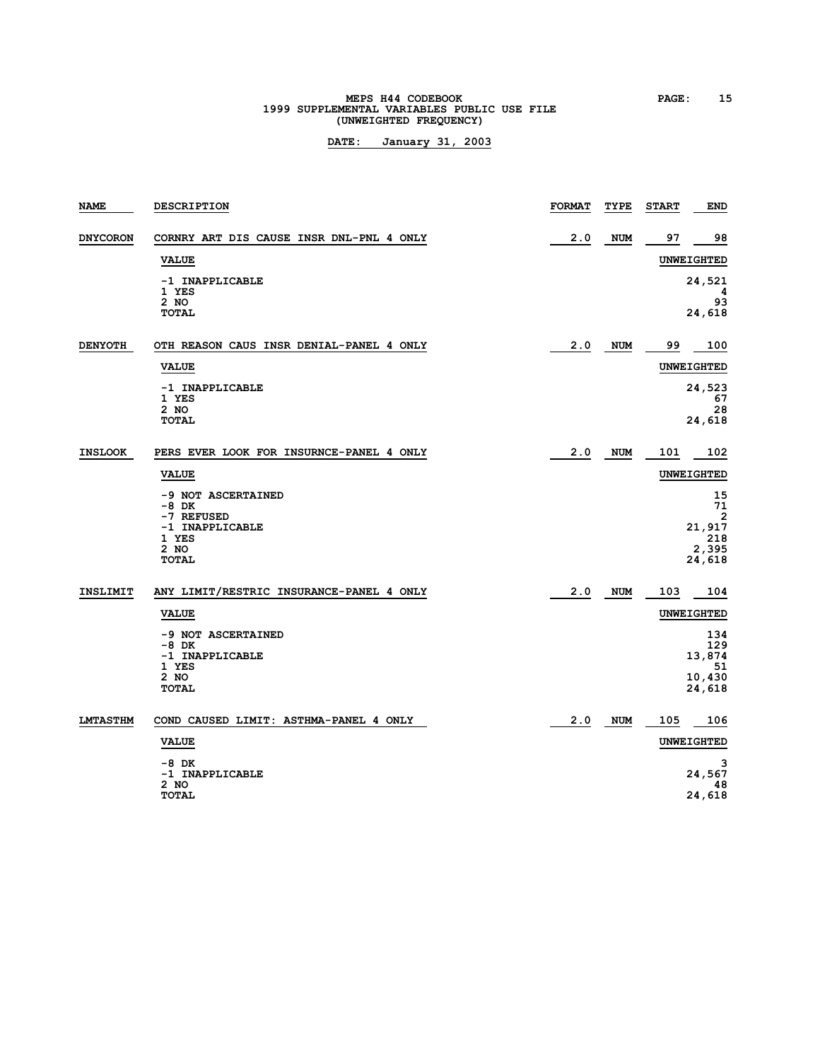# **MEPS H44 CODEBOOK PAGE: 15**<br>1999 SUPPLEMENTAL VARIABLES PUBLIC USE FILE **(UNWEIGHTED FREQUENCY)**

| NAME            | <b>DESCRIPTION</b>                                                                              | <b>FORMAT</b> | TYPE       | <b>START</b> | END                                               |
|-----------------|-------------------------------------------------------------------------------------------------|---------------|------------|--------------|---------------------------------------------------|
| <b>DNYCORON</b> | CORNRY ART DIS CAUSE INSR DNL-PNL 4 ONLY                                                        | 2.0           | <b>NUM</b> | 97           | 98                                                |
|                 | <b>VALUE</b>                                                                                    |               |            |              | <b>UNWEIGHTED</b>                                 |
|                 | -1 INAPPLICABLE<br>1 YES<br>2 NO<br><b>TOTAL</b>                                                |               |            |              | 24,521<br>4<br>93<br>24,618                       |
| <b>DENYOTH</b>  | OTH REASON CAUS INSR DENIAL-PANEL 4 ONLY                                                        | 2.0           | <b>NUM</b> | 99           | 100                                               |
|                 | <b>VALUE</b>                                                                                    |               |            |              | <b>UNWEIGHTED</b>                                 |
|                 | -1 INAPPLICABLE<br>1 YES<br>2 NO<br><b>TOTAL</b>                                                |               |            |              | 24,523<br>67<br>28<br>24,618                      |
| <b>INSLOOK</b>  | PERS EVER LOOK FOR INSURNCE-PANEL 4 ONLY                                                        | 2.0           | NUM        | 101          | 102                                               |
|                 | <b>VALUE</b>                                                                                    |               |            |              | <b>UNWEIGHTED</b>                                 |
|                 | -9 NOT ASCERTAINED<br>$-8$ DK<br>-7 REFUSED<br>-1 INAPPLICABLE<br>1 YES<br>2 NO<br><b>TOTAL</b> |               |            |              | 15<br>71<br>2<br>21,917<br>218<br>2,395<br>24,618 |
| <b>INSLIMIT</b> | ANY LIMIT/RESTRIC INSURANCE-PANEL 4 ONLY                                                        | 2.0           | <b>NUM</b> | 103          | 104                                               |
|                 | <b>VALUE</b>                                                                                    |               |            |              | <b>UNWEIGHTED</b>                                 |
|                 | -9 NOT ASCERTAINED<br>$-8$ DK<br>-1 INAPPLICABLE<br>1 YES<br>2 NO<br><b>TOTAL</b>               |               |            |              | 134<br>129<br>13,874<br>51<br>10,430<br>24,618    |
| <b>LMTASTHM</b> | COND CAUSED LIMIT: ASTHMA-PANEL 4 ONLY                                                          | 2.0           | <b>NUM</b> | 105          | 106                                               |
|                 | <b>VALUE</b>                                                                                    |               |            |              | <b>UNWEIGHTED</b>                                 |
|                 | -8 DK<br>-1 INAPPLICABLE<br>2 NO<br><b>TOTAL</b>                                                |               |            |              | з<br>24,567<br>48<br>24,618                       |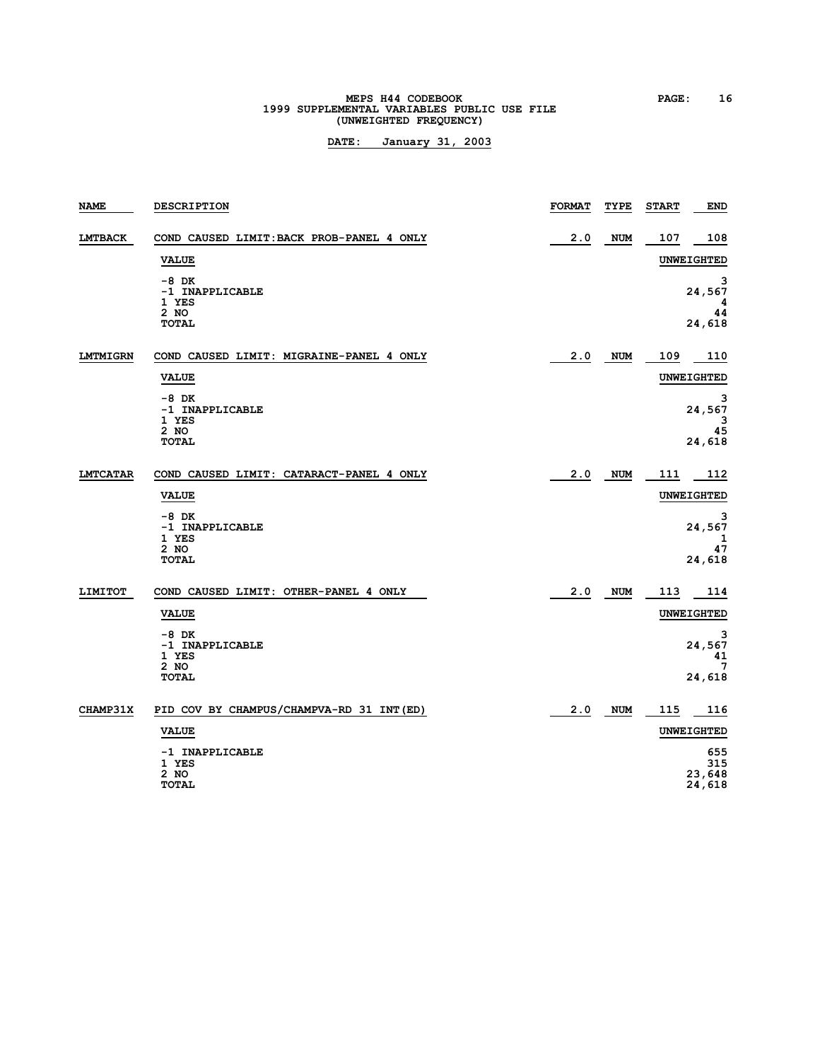# **MEPS H44 CODEBOOK PAGE: 16**<br>1999 SUPPLEMENTAL VARIABLES PUBLIC USE FILE **(UNWEIGHTED FREQUENCY)**

| <b>NAME</b>     | <b>DESCRIPTION</b>                                            | <b>FORMAT</b> | TYPE       | <b>START</b>      | <b>END</b>                       |
|-----------------|---------------------------------------------------------------|---------------|------------|-------------------|----------------------------------|
| <b>LMTBACK</b>  | COND CAUSED LIMIT: BACK PROB-PANEL 4 ONLY                     | 2.0           | <b>NUM</b> | 107               | 108                              |
|                 | <b>VALUE</b>                                                  |               |            | UNWEIGHTED        |                                  |
|                 | $-8$ DK<br>-1 INAPPLICABLE<br>1 YES<br>$2$ NO<br><b>TOTAL</b> |               |            |                   | з<br>24,567<br>4<br>44<br>24,618 |
| <b>LMTMIGRN</b> | COND CAUSED LIMIT: MIGRAINE-PANEL 4 ONLY                      | 2.0           | <b>NUM</b> | 109               | 110                              |
|                 | <b>VALUE</b>                                                  |               |            | <b>UNWEIGHTED</b> |                                  |
|                 | $-8$ DK<br>-1 INAPPLICABLE<br>1 YES<br>$2$ NO<br><b>TOTAL</b> |               |            |                   | з<br>24,567<br>3<br>45<br>24,618 |
| <b>LMTCATAR</b> | COND CAUSED LIMIT: CATARACT-PANEL 4 ONLY                      | 2.0           | <b>NUM</b> | 111               | 112                              |
|                 | <b>VALUE</b>                                                  |               |            | <b>UNWEIGHTED</b> |                                  |
|                 | $-8$ DK<br>-1 INAPPLICABLE<br>1 YES<br>$2$ NO<br><b>TOTAL</b> |               |            |                   | 3<br>24,567<br>1<br>47<br>24,618 |
| <b>LIMITOT</b>  | COND CAUSED LIMIT: OTHER-PANEL 4 ONLY                         | 2.0           | <b>NUM</b> | 113               | 114                              |
|                 | <b>VALUE</b>                                                  |               |            | <b>UNWEIGHTED</b> |                                  |
|                 | $-8$ DK<br>-1 INAPPLICABLE<br>1 YES<br>$2$ NO<br><b>TOTAL</b> |               |            |                   | 3<br>24,567<br>41<br>7<br>24,618 |
| CHAMP31X        | PID COV BY CHAMPUS/CHAMPVA-RD 31 INT(ED)                      | 2.0           | <b>NUM</b> | 115               | 116                              |
|                 | <b>VALUE</b>                                                  |               |            | <b>UNWEIGHTED</b> |                                  |
|                 | -1 INAPPLICABLE<br>1 YES<br>2 NO<br><b>TOTAL</b>              |               |            |                   | 655<br>315<br>23,648<br>24,618   |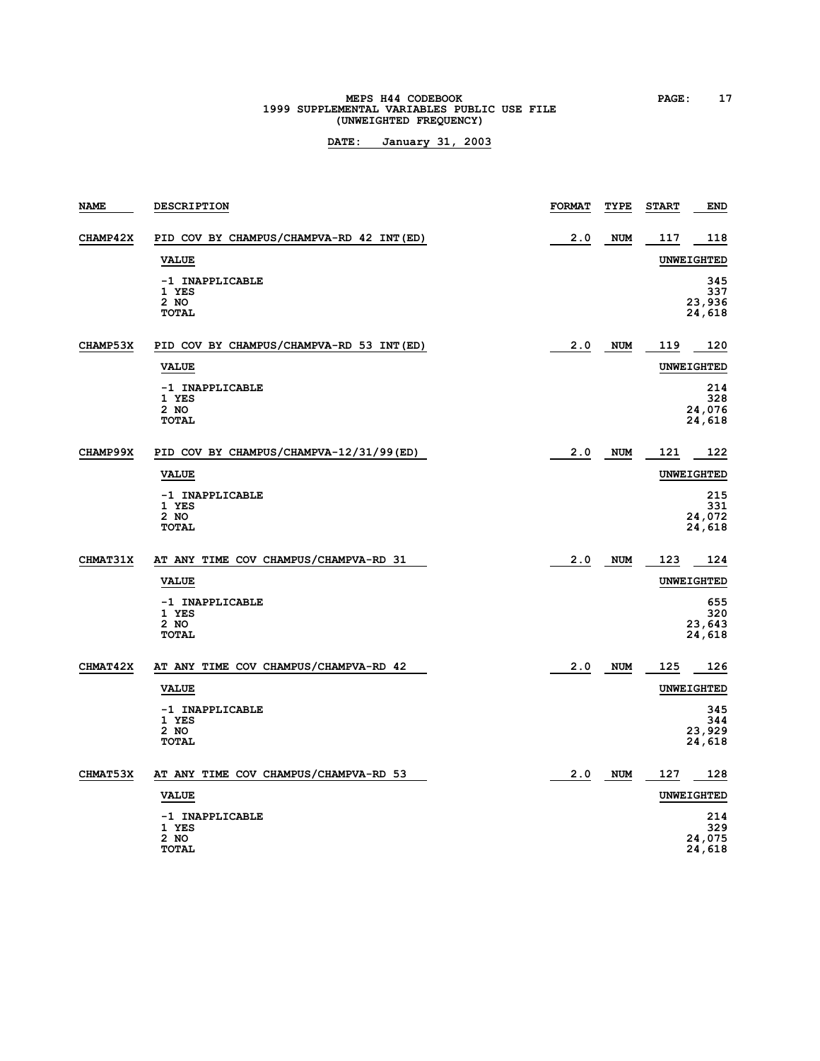# **MEPS H44 CODEBOOK PAGE: 17**<br>1999 SUPPLEMENTAL VARIABLES PUBLIC USE FILE **(UNWEIGHTED FREQUENCY)**

| <b>NAME</b> | <b>DESCRIPTION</b>                               | <b>FORMAT</b> | TYPE       | <b>START</b> | <b>END</b>                     |
|-------------|--------------------------------------------------|---------------|------------|--------------|--------------------------------|
| CHAMP42X    | PID COV BY CHAMPUS/CHAMPVA-RD 42 INT (ED)        | 2.0           | <b>NUM</b> | 117          | 118                            |
|             | <b>VALUE</b>                                     |               |            |              | <b>UNWEIGHTED</b>              |
|             | -1 INAPPLICABLE<br>1 YES<br>2 NO<br><b>TOTAL</b> |               |            |              | 345<br>337<br>23,936<br>24,618 |
| CHAMP53X    | PID COV BY CHAMPUS/CHAMPVA-RD 53 INT (ED)        | 2.0           | <b>NUM</b> | 119          | 120                            |
|             | <b>VALUE</b>                                     |               |            |              | <b>UNWEIGHTED</b>              |
|             | -1 INAPPLICABLE<br>1 YES<br>2 NO<br><b>TOTAL</b> |               |            |              | 214<br>328<br>24,076<br>24,618 |
| CHAMP99X    | PID COV BY CHAMPUS/CHAMPVA-12/31/99(ED)          | 2.0           | <b>NUM</b> | 121          | 122                            |
|             | <b>VALUE</b>                                     |               |            |              | <b>UNWEIGHTED</b>              |
|             | -1 INAPPLICABLE<br>1 YES<br>2 NO<br><b>TOTAL</b> |               |            |              | 215<br>331<br>24,072<br>24,618 |
| CHMAT31X    | AT ANY TIME COV CHAMPUS/CHAMPVA-RD 31            | 2.0           | <b>NUM</b> | 123          | 124                            |
|             | <b>VALUE</b>                                     |               |            |              | <b>UNWEIGHTED</b>              |
|             | -1 INAPPLICABLE<br>1 YES<br>2 NO<br><b>TOTAL</b> |               |            |              | 655<br>320<br>23,643<br>24,618 |
| CHMAT42X    | AT ANY TIME COV CHAMPUS/CHAMPVA-RD 42            | 2.0           | <b>NUM</b> | 125          | 126                            |
|             | <b>VALUE</b>                                     |               |            |              | UNWEIGHTED                     |
|             | -1 INAPPLICABLE<br>1 YES<br>2 NO<br><b>TOTAL</b> |               |            |              | 345<br>344<br>23,929<br>24,618 |
| CHMAT53X    | AT ANY TIME COV CHAMPUS/CHAMPVA-RD 53            | 2.0           | NUM        | 127          | 128                            |
|             | <b>VALUE</b>                                     |               |            |              | UNWEIGHTED                     |
|             | -1 INAPPLICABLE<br>1 YES<br>2 NO<br><b>TOTAL</b> |               |            |              | 214<br>329<br>24,075<br>24,618 |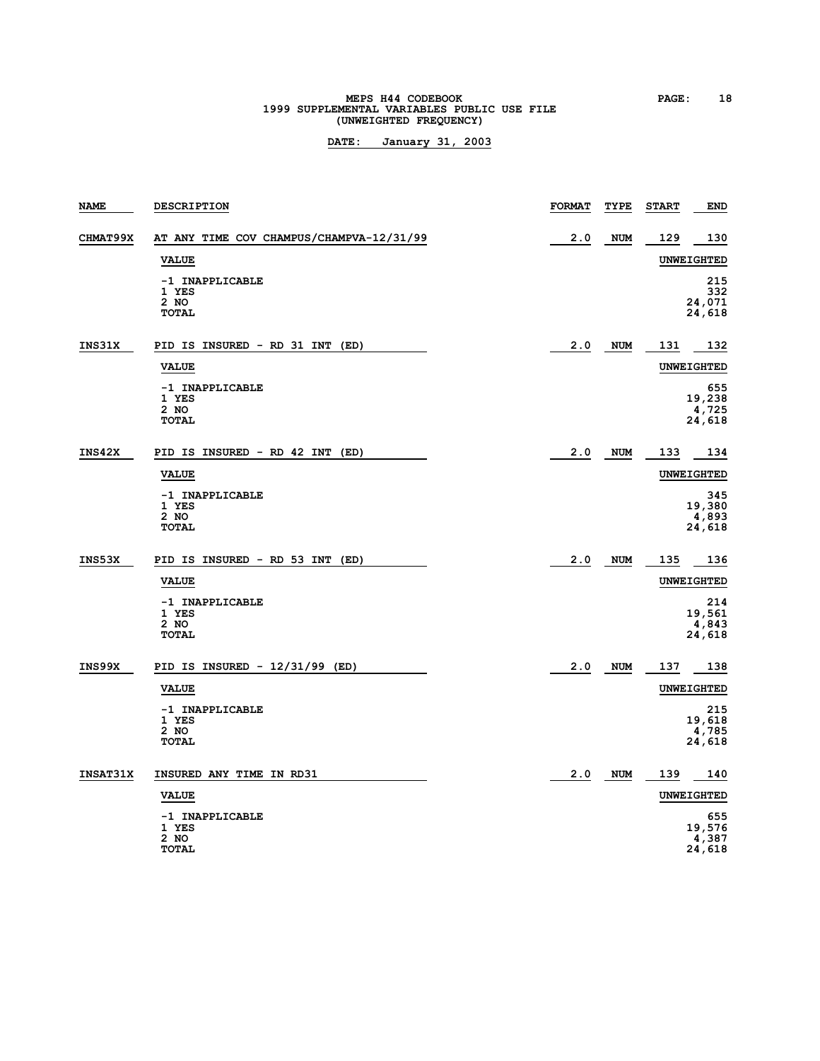# **MEPS H44 CODEBOOK PAGE: 18**<br> **1999 SUPPLEMENTAL VARIABLES PUBLIC USE FILE (UNWEIGHTED FREQUENCY)**

| <b>NAME</b> | <b>DESCRIPTION</b>                                 | <b>FORMAT</b> | TYPE       | <b>START</b> | <b>END</b>                       |
|-------------|----------------------------------------------------|---------------|------------|--------------|----------------------------------|
| CHMAT99X    | AT ANY TIME COV CHAMPUS/CHAMPVA-12/31/99           | 2.0           | <b>NUM</b> | 129          | 130                              |
|             | <b>VALUE</b>                                       |               |            |              | <b>UNWEIGHTED</b>                |
|             | -1 INAPPLICABLE<br>1 YES<br>2 NO<br><b>TOTAL</b>   |               |            |              | 215<br>332<br>24,071<br>24,618   |
| INS31X      | PID IS INSURED - RD 31 INT (ED)                    | 2.0           | <b>NUM</b> | 131          | 132                              |
|             | <b>VALUE</b>                                       |               |            |              | <b>UNWEIGHTED</b>                |
|             | -1 INAPPLICABLE<br>1 YES<br>$2$ NO<br><b>TOTAL</b> |               |            |              | 655<br>19,238<br>4,725<br>24,618 |
| INS42X      | PID IS INSURED - RD 42 INT<br>(ED)                 | 2.0           | <b>NUM</b> | 133          | 134                              |
|             | <b>VALUE</b>                                       |               |            |              | UNWEIGHTED                       |
|             | -1 INAPPLICABLE<br>1 YES<br>2 NO<br><b>TOTAL</b>   |               |            |              | 345<br>19,380<br>4,893<br>24,618 |
| INS53X      | PID IS INSURED - RD 53 INT<br>(ED)                 | 2.0           | <b>NUM</b> | 135          | 136                              |
|             | <b>VALUE</b>                                       |               |            |              | <b>UNWEIGHTED</b>                |
|             | -1 INAPPLICABLE<br>1 YES<br>2 NO<br><b>TOTAL</b>   |               |            |              | 214<br>19,561<br>4,843<br>24,618 |
| INS99X      | PID IS INSURED - $12/31/99$ (ED)                   | 2.0           | <b>NUM</b> | 137          | 138                              |
|             | <b>VALUE</b>                                       |               |            |              | <b>UNWEIGHTED</b>                |
|             | -1 INAPPLICABLE<br>1 YES<br>2 NO<br><b>TOTAL</b>   |               |            |              | 215<br>19,618<br>4,785<br>24,618 |
| INSAT31X    | INSURED ANY TIME IN RD31                           | 2.0           | <b>NUM</b> | 139          | 140                              |
|             | <b>VALUE</b>                                       |               |            |              | UNWEIGHTED                       |
|             | -1 INAPPLICABLE<br>1 YES<br>2 NO<br>TOTAL          |               |            |              | 655<br>19,576<br>4,387<br>24,618 |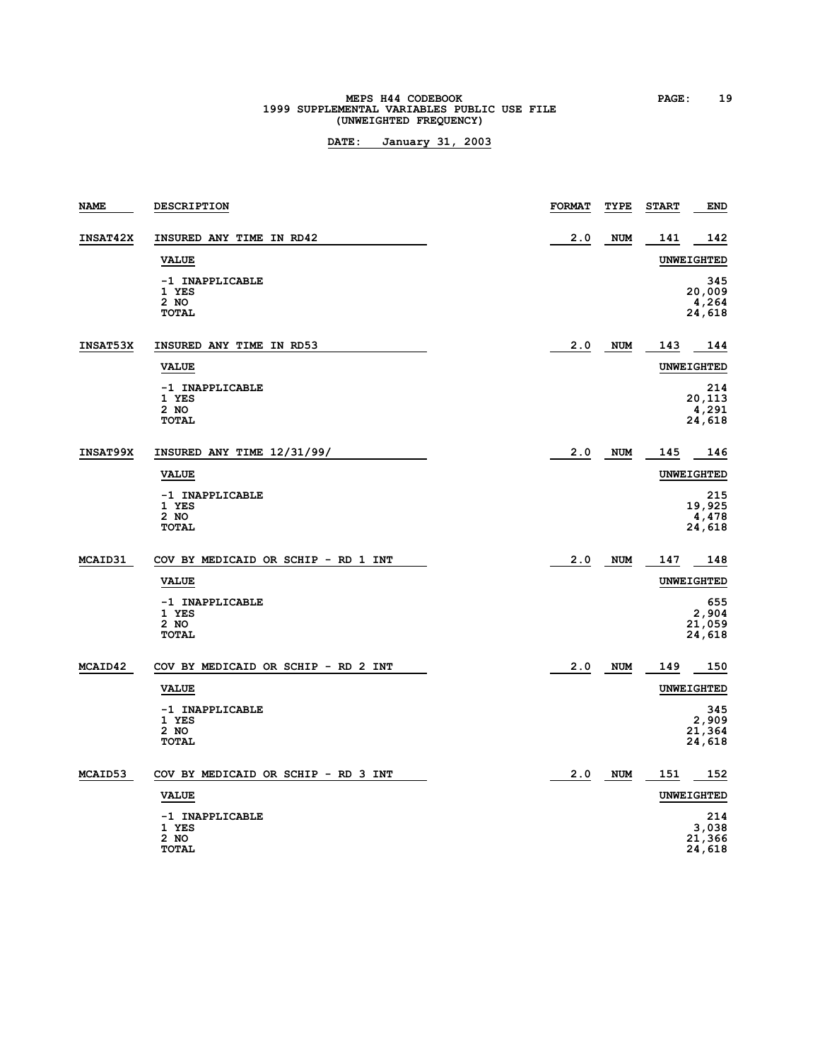# **MEPS H44 CODEBOOK PAGE: 19**<br>1999 SUPPLEMENTAL VARIABLES PUBLIC USE FILE **(UNWEIGHTED FREQUENCY)**

| <b>NAME</b>     | <b>DESCRIPTION</b>                               | <b>FORMAT</b> | TYPE       | <b>START</b> | <b>END</b>                       |
|-----------------|--------------------------------------------------|---------------|------------|--------------|----------------------------------|
| <b>INSAT42X</b> | INSURED ANY TIME IN RD42                         | 2.0           | <b>NUM</b> | 141          | 142                              |
|                 | <b>VALUE</b>                                     |               |            |              | UNWEIGHTED                       |
|                 | -1 INAPPLICABLE<br>1 YES<br>2 NO<br><b>TOTAL</b> |               |            |              | 345<br>20,009<br>4,264<br>24,618 |
| INSAT53X        | INSURED ANY TIME IN RD53                         | 2.0           | <b>NUM</b> | 143          | 144                              |
|                 | <b>VALUE</b>                                     |               |            |              | <b>UNWEIGHTED</b>                |
|                 | -1 INAPPLICABLE<br>1 YES<br>2 NO<br><b>TOTAL</b> |               |            |              | 214<br>20,113<br>4,291<br>24,618 |
| INSAT99X        | INSURED ANY TIME 12/31/99/                       | 2.0           | <b>NUM</b> | 145          | 146                              |
|                 | <b>VALUE</b>                                     |               |            |              | <b>UNWEIGHTED</b>                |
|                 | -1 INAPPLICABLE<br>1 YES<br>2 NO<br><b>TOTAL</b> |               |            |              | 215<br>19,925<br>4,478<br>24,618 |
| <b>MCAID31</b>  | COV BY MEDICAID OR SCHIP - RD 1 INT              | 2.0           | <b>NUM</b> | 147          | 148                              |
|                 | <b>VALUE</b>                                     |               |            |              | <b>UNWEIGHTED</b>                |
|                 | -1 INAPPLICABLE<br>1 YES<br>2 NO<br><b>TOTAL</b> |               |            |              | 655<br>2,904<br>21,059<br>24,618 |
| MCAID42         | COV BY MEDICAID OR SCHIP - RD 2 INT              | 2.0           | <b>NUM</b> | 149          | 150                              |
|                 | <b>VALUE</b>                                     |               |            |              | <b>UNWEIGHTED</b>                |
|                 | -1 INAPPLICABLE<br>1 YES<br>2 NO<br><b>TOTAL</b> |               |            |              | 345<br>2,909<br>21,364<br>24,618 |
| MCAID53         | COV BY MEDICAID OR SCHIP - RD 3 INT              | 2.0           | <b>NUM</b> | 151          | 152                              |
|                 | <b>VALUE</b>                                     |               |            |              | <b>UNWEIGHTED</b>                |
|                 | -1 INAPPLICABLE<br>1 YES<br>2 NO<br>TOTAL        |               |            |              | 214<br>3,038<br>21,366<br>24,618 |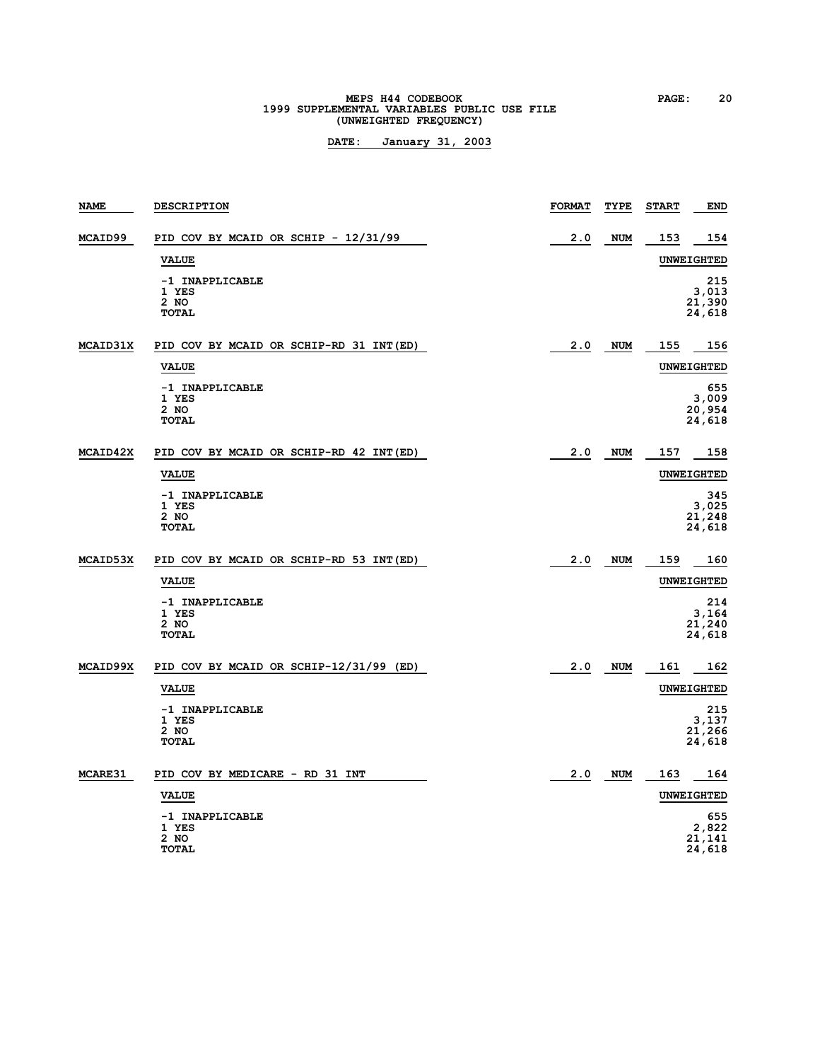# **MEPS H44 CODEBOOK PAGE:** 20<br> **1999 SUPPLEMENTAL VARIABLES PUBLIC USE FILE (UNWEIGHTED FREQUENCY)**

| <b>NAME</b>     | <b>DESCRIPTION</b>                                 | <b>FORMAT</b> | TYPE       | <b>START</b> | <b>END</b>                       |
|-----------------|----------------------------------------------------|---------------|------------|--------------|----------------------------------|
| MCAID99         | PID COV BY MCAID OR SCHIP - 12/31/99               | 2.0           | <b>NUM</b> | 153          | 154                              |
|                 | <b>VALUE</b>                                       |               |            |              | <b>UNWEIGHTED</b>                |
|                 | -1 INAPPLICABLE<br>1 YES<br>$2$ NO<br><b>TOTAL</b> |               |            |              | 215<br>3,013<br>21,390<br>24,618 |
| <b>MCAID31X</b> | PID COV BY MCAID OR SCHIP-RD 31 INT (ED)           | 2.0           | NUM        | 155          | 156                              |
|                 | <b>VALUE</b>                                       |               |            |              | <b>UNWEIGHTED</b>                |
|                 | -1 INAPPLICABLE<br>1 YES<br>2 NO<br><b>TOTAL</b>   |               |            |              | 655<br>3,009<br>20,954<br>24,618 |
| MCAID42X        | PID COV BY MCAID OR SCHIP-RD 42 INT (ED)           | 2.0           | <b>NUM</b> | 157          | 158                              |
|                 | <b>VALUE</b>                                       |               |            |              | <b>UNWEIGHTED</b>                |
|                 | -1 INAPPLICABLE<br>1 YES<br>2 NO<br><b>TOTAL</b>   |               |            |              | 345<br>3,025<br>21,248<br>24,618 |
| MCAID53X        | PID COV BY MCAID OR SCHIP-RD 53 INT (ED)           | 2.0           | <b>NUM</b> | 159          | 160                              |
|                 | <b>VALUE</b>                                       |               |            |              | UNWEIGHTED                       |
|                 | -1 INAPPLICABLE<br>1 YES<br>$2$ NO<br><b>TOTAL</b> |               |            |              | 214<br>3,164<br>21,240<br>24,618 |
| <b>MCAID99X</b> | PID COV BY MCAID OR SCHIP-12/31/99 (ED)            | 2.0           | <b>NUM</b> | 161          | 162                              |
|                 | <b>VALUE</b>                                       |               |            |              | UNWEIGHTED                       |
|                 | -1 INAPPLICABLE<br>1 YES<br>2 NO<br><b>TOTAL</b>   |               |            |              | 215<br>3,137<br>21,266<br>24,618 |
| <b>MCARE31</b>  | PID COV BY MEDICARE - RD 31 INT                    | 2.0           | NUM        | 163          | 164                              |
|                 | <b>VALUE</b>                                       |               |            |              | UNWEIGHTED                       |
|                 | -1 INAPPLICABLE<br>1 YES<br>2 NO<br><b>TOTAL</b>   |               |            |              | 655<br>2,822<br>21,141<br>24,618 |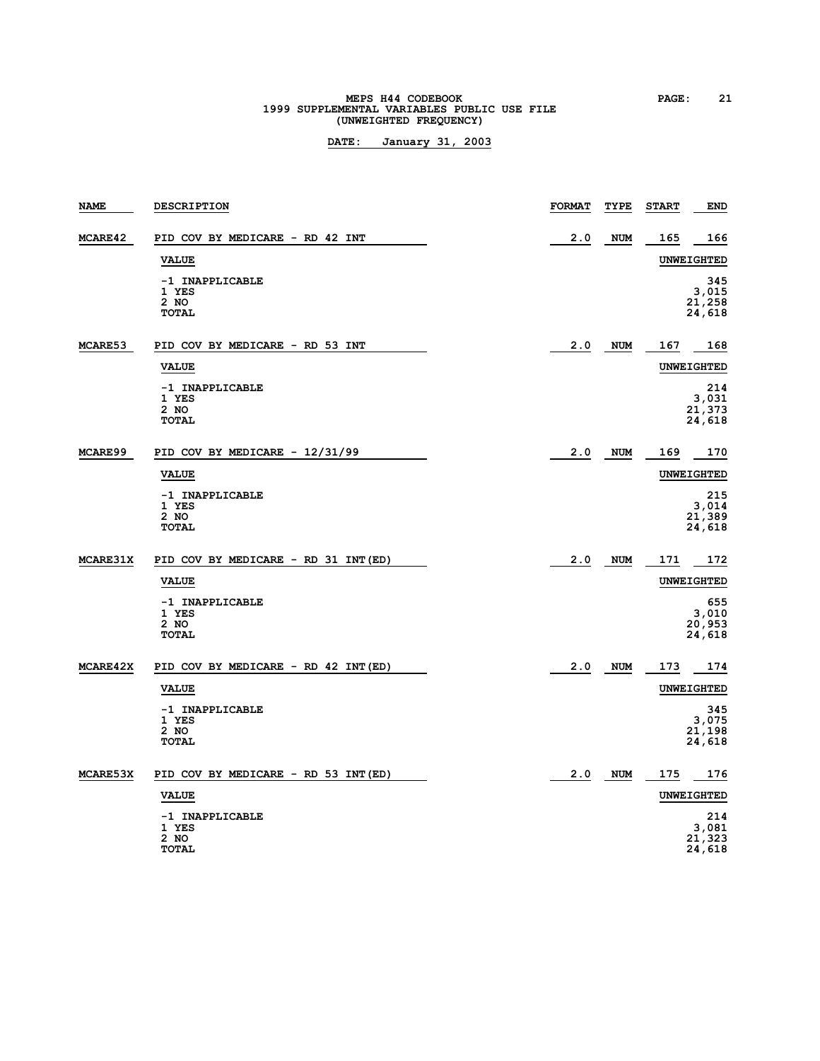# **MEPS H44 CODEBOOK PAGE: 21**<br> **1999 SUPPLEMENTAL VARIABLES PUBLIC USE FILE (UNWEIGHTED FREQUENCY)**

| <b>NAME</b>     | <b>DESCRIPTION</b>                                 | <b>FORMAT</b> | TYPE       | <b>START</b> | <b>END</b>                       |
|-----------------|----------------------------------------------------|---------------|------------|--------------|----------------------------------|
| MCARE42         | PID COV BY MEDICARE - RD 42 INT                    | 2.0           | <b>NUM</b> | 165          | 166                              |
|                 | <b>VALUE</b>                                       |               |            |              | <b>UNWEIGHTED</b>                |
|                 | -1 INAPPLICABLE<br>1 YES<br>2 NO<br><b>TOTAL</b>   |               |            |              | 345<br>3,015<br>21,258<br>24,618 |
| MCARE53         | PID COV BY MEDICARE - RD 53 INT                    | 2.0           | <b>NUM</b> | 167          | 168                              |
|                 | <b>VALUE</b>                                       |               |            |              | <b>UNWEIGHTED</b>                |
|                 | -1 INAPPLICABLE<br>1 YES<br>2 NO<br><b>TOTAL</b>   |               |            |              | 214<br>3,031<br>21,373<br>24,618 |
| MCARE99         | PID COV BY MEDICARE - 12/31/99                     | 2.0           | <b>NUM</b> | 169          | 170                              |
|                 | <b>VALUE</b>                                       |               |            |              | <b>UNWEIGHTED</b>                |
|                 | -1 INAPPLICABLE<br>1 YES<br>2 NO<br><b>TOTAL</b>   |               |            |              | 215<br>3,014<br>21,389<br>24,618 |
| MCARE31X        | PID COV BY MEDICARE - RD 31 INT (ED)               | 2.0           | <b>NUM</b> | 171          | 172                              |
|                 | <b>VALUE</b>                                       |               |            |              | <b>UNWEIGHTED</b>                |
|                 | -1 INAPPLICABLE<br>1 YES<br>2 NO<br><b>TOTAL</b>   |               |            |              | 655<br>3,010<br>20,953<br>24,618 |
| <b>MCARE42X</b> | PID COV BY MEDICARE - RD 42 INT(ED)                | 2.0           | <b>NUM</b> | 173          | 174                              |
|                 | <b>VALUE</b>                                       |               |            |              | <b>UNWEIGHTED</b>                |
|                 | -1 INAPPLICABLE<br>1 YES<br>$2$ NO<br><b>TOTAL</b> |               |            |              | 345<br>3,075<br>21,198<br>24,618 |
| MCARE53X        | PID COV BY MEDICARE - RD 53 INT(ED)                | 2.0           | <b>NUM</b> | 175          | 176                              |
|                 | <b>VALUE</b>                                       |               |            |              | UNWEIGHTED                       |
|                 | -1 INAPPLICABLE<br>1 YES<br>2 NO<br><b>TOTAL</b>   |               |            |              | 214<br>3,081<br>21,323<br>24,618 |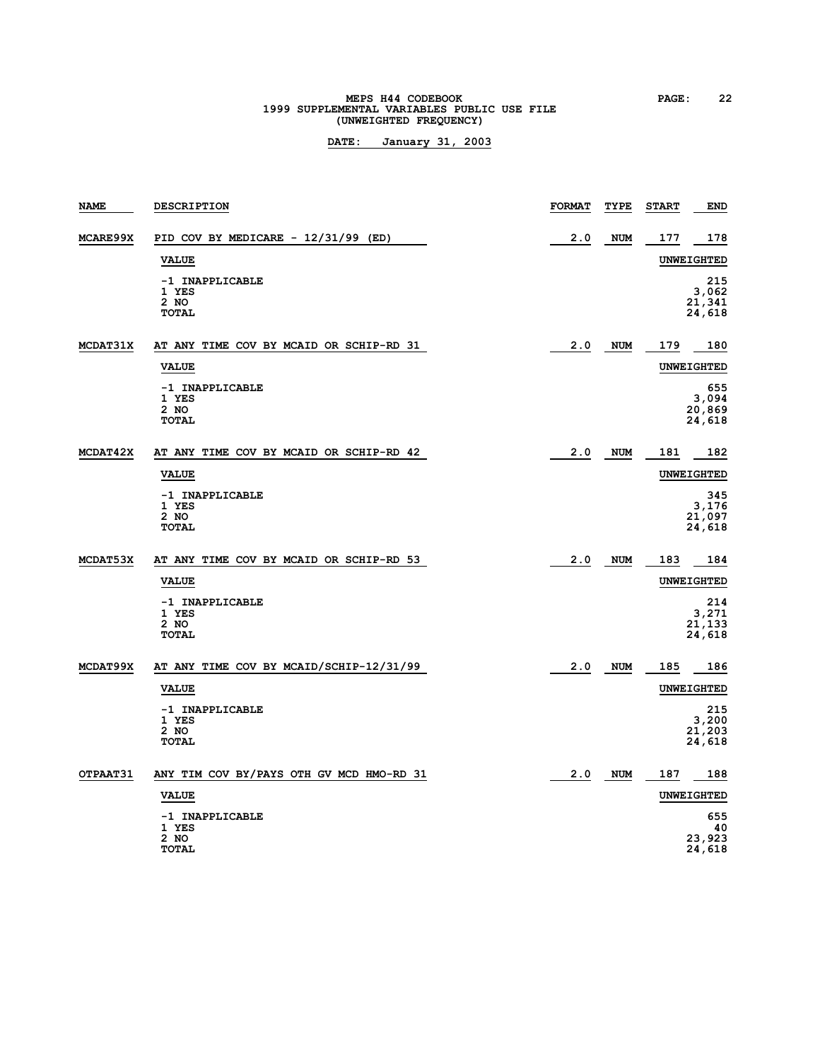# **MEPS H44 CODEBOOK PAGE:** 22<br> **1999 SUPPLEMENTAL VARIABLES PUBLIC USE FILE (UNWEIGHTED FREQUENCY)**

| <b>NAME</b> | <b>DESCRIPTION</b>                               | <b>FORMAT</b> | TYPE       | <b>START</b> | END                              |
|-------------|--------------------------------------------------|---------------|------------|--------------|----------------------------------|
| MCARE99X    | PID COV BY MEDICARE - 12/31/99 (ED)              | 2.0           | <b>NUM</b> | 177          | 178                              |
|             | <b>VALUE</b>                                     |               |            |              | <b>UNWEIGHTED</b>                |
|             | -1 INAPPLICABLE<br>1 YES<br>2 NO<br><b>TOTAL</b> |               |            |              | 215<br>3,062<br>21,341<br>24,618 |
| MCDAT31X    | AT ANY TIME COV BY MCAID OR SCHIP-RD 31          | 2.0           | <b>NUM</b> | 179          | 180                              |
|             | <b>VALUE</b>                                     |               |            |              | <b>UNWEIGHTED</b>                |
|             | -1 INAPPLICABLE<br>1 YES<br>2 NO<br><b>TOTAL</b> |               |            |              | 655<br>3,094<br>20,869<br>24,618 |
| MCDAT42X    | AT ANY TIME COV BY MCAID OR SCHIP-RD 42          | 2.0           | <b>NUM</b> | 181          | 182                              |
|             | <b>VALUE</b>                                     |               |            |              | <b>UNWEIGHTED</b>                |
|             | -1 INAPPLICABLE<br>1 YES<br>2 NO<br><b>TOTAL</b> |               |            |              | 345<br>3,176<br>21,097<br>24,618 |
| MCDAT53X    | AT ANY TIME COV BY MCAID OR SCHIP-RD 53          | 2.0           | <b>NUM</b> | 183          | 184                              |
|             | <b>VALUE</b>                                     |               |            |              | <b>UNWEIGHTED</b>                |
|             | -1 INAPPLICABLE<br>1 YES<br>2 NO<br><b>TOTAL</b> |               |            |              | 214<br>3,271<br>21,133<br>24,618 |
| MCDAT99X    | AT ANY TIME COV BY MCAID/SCHIP-12/31/99          | 2.0           | <b>NUM</b> | 185          | 186                              |
|             | <b>VALUE</b>                                     |               |            |              | <b>UNWEIGHTED</b>                |
|             | -1 INAPPLICABLE<br>1 YES<br>2 NO<br><b>TOTAL</b> |               |            |              | 215<br>3,200<br>21,203<br>24,618 |
| OTPAAT31    | ANY TIM COV BY/PAYS OTH GV MCD HMO-RD 31         | 2.0           | <b>NUM</b> | 187          | 188                              |
|             | <b>VALUE</b>                                     |               |            |              | <b>UNWEIGHTED</b>                |
|             | -1 INAPPLICABLE<br>1 YES<br>2 NO<br><b>TOTAL</b> |               |            |              | 655<br>40<br>23,923<br>24,618    |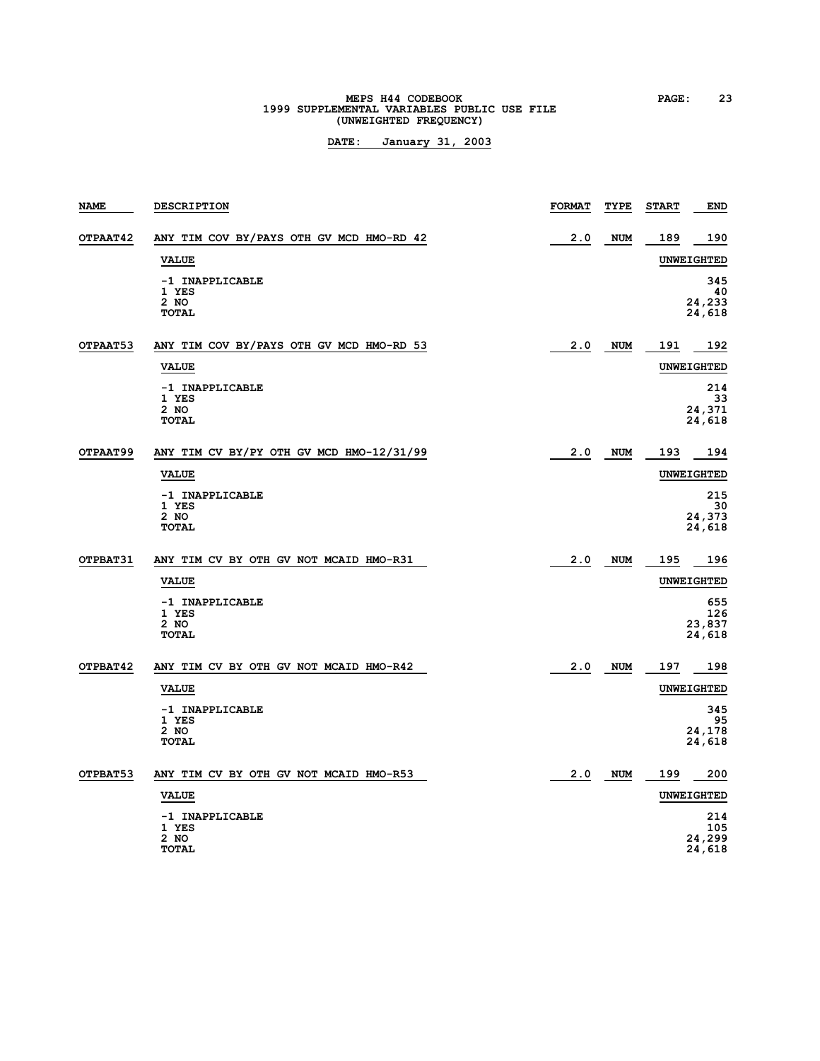# **MEPS H44 CODEBOOK PAGE: 23**<br>1999 SUPPLEMENTAL VARIABLES PUBLIC USE FILE **(UNWEIGHTED FREQUENCY)**

| <b>NAME</b> | <b>DESCRIPTION</b>                               | <b>FORMAT</b> | TYPE       | <b>START</b> | <b>END</b>                     |
|-------------|--------------------------------------------------|---------------|------------|--------------|--------------------------------|
| OTPAAT42    | ANY TIM COV BY/PAYS OTH GV MCD HMO-RD 42         | 2.0           | <b>NUM</b> | 189          | 190                            |
|             | <b>VALUE</b>                                     |               |            |              | <b>UNWEIGHTED</b>              |
|             | -1 INAPPLICABLE<br>1 YES<br>2 NO<br><b>TOTAL</b> |               |            |              | 345<br>40<br>24,233<br>24,618  |
| OTPAAT53    | ANY TIM COV BY/PAYS OTH GV MCD HMO-RD 53         | 2.0           | <b>NUM</b> | 191          | 192                            |
|             | <b>VALUE</b>                                     |               |            |              | <b>UNWEIGHTED</b>              |
|             | -1 INAPPLICABLE<br>1 YES<br>2 NO<br><b>TOTAL</b> |               |            |              | 214<br>33<br>24,371<br>24,618  |
| OTPAAT99    | ANY TIM CV BY/PY OTH GV MCD HMO-12/31/99         | 2.0           | <b>NUM</b> | 193          | 194                            |
|             | <b>VALUE</b>                                     |               |            |              | <b>UNWEIGHTED</b>              |
|             | -1 INAPPLICABLE<br>1 YES<br>2 NO<br><b>TOTAL</b> |               |            |              | 215<br>30<br>24,373<br>24,618  |
| OTPBAT31    | ANY TIM CV BY OTH GV NOT MCAID HMO-R31           | 2.0           | <b>NUM</b> | 195          | 196                            |
|             | <b>VALUE</b>                                     |               |            |              | <b>UNWEIGHTED</b>              |
|             | -1 INAPPLICABLE<br>1 YES<br>2 NO<br><b>TOTAL</b> |               |            |              | 655<br>126<br>23,837<br>24,618 |
| OTPBAT42    | ANY TIM CV BY OTH GV NOT MCAID HMO-R42           | 2.0           | <b>NUM</b> | 197          | 198                            |
|             | <b>VALUE</b>                                     |               |            |              | <b>UNWEIGHTED</b>              |
|             | -1 INAPPLICABLE<br>1 YES<br>2 NO<br><b>TOTAL</b> |               |            |              | 345<br>95<br>24,178<br>24,618  |
| OTPBAT53    | ANY TIM CV BY OTH GV NOT MCAID HMO-R53           | 2.0           | <b>NUM</b> | 199          | 200                            |
|             | <b>VALUE</b>                                     |               |            |              | <b>UNWEIGHTED</b>              |
|             | -1 INAPPLICABLE<br>1 YES<br>2 NO<br><b>TOTAL</b> |               |            |              | 214<br>105<br>24,299<br>24,618 |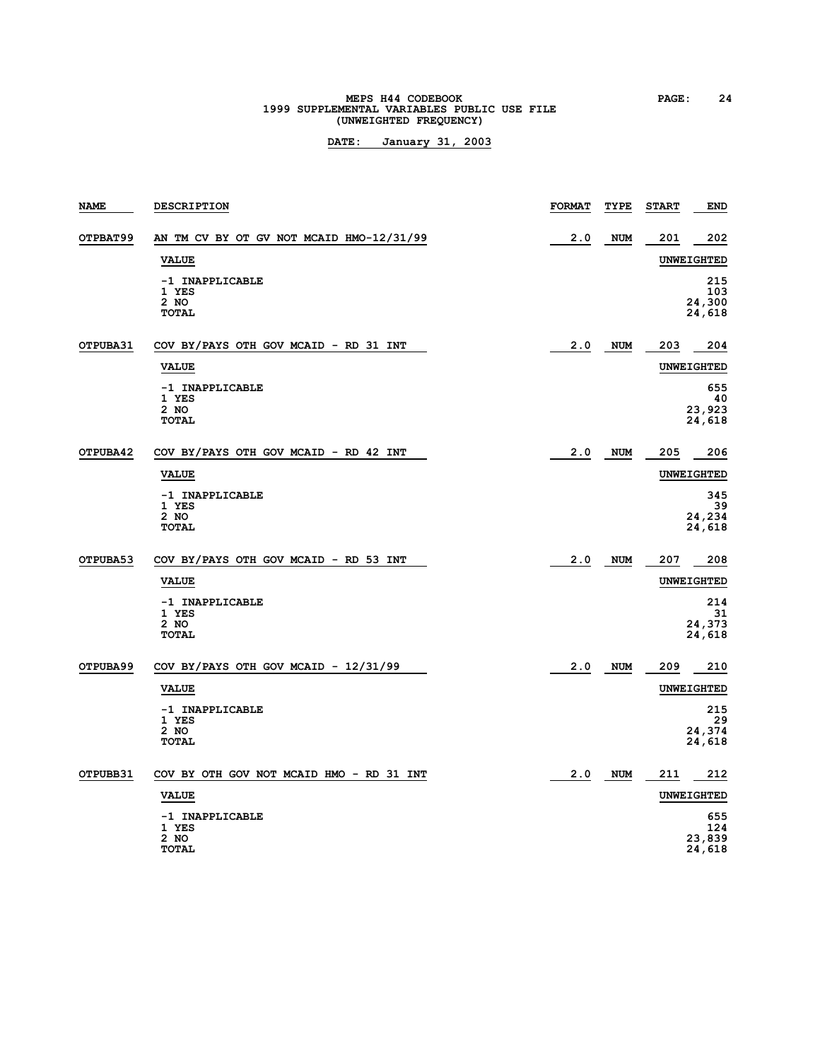# **MEPS H44 CODEBOOK PAGE: 24**<br>1999 SUPPLEMENTAL VARIABLES PUBLIC USE FILE **(UNWEIGHTED FREQUENCY)**

| <b>NAME</b> | <b>DESCRIPTION</b>                                 | <b>FORMAT</b> | TYPE       | <b>START</b> | <b>END</b>                     |
|-------------|----------------------------------------------------|---------------|------------|--------------|--------------------------------|
| OTPBAT99    | AN TM CV BY OT GV NOT MCAID HMO-12/31/99           | 2.0           | <b>NUM</b> | 201          | 202                            |
|             | <b>VALUE</b>                                       |               |            |              | <b>UNWEIGHTED</b>              |
|             | -1 INAPPLICABLE<br>1 YES<br>2 NO<br><b>TOTAL</b>   |               |            |              | 215<br>103<br>24,300<br>24,618 |
| OTPUBA31    | COV BY/PAYS OTH GOV MCAID - RD 31 INT              | 2.0           | <b>NUM</b> | 203          | 204                            |
|             | <b>VALUE</b>                                       |               |            |              | <b>UNWEIGHTED</b>              |
|             | -1 INAPPLICABLE<br>1 YES<br>$2$ NO<br><b>TOTAL</b> |               |            |              | 655<br>40<br>23,923<br>24,618  |
| OTPUBA42    | COV BY/PAYS OTH GOV MCAID - RD 42 INT              | 2.0           | <b>NUM</b> | 205          | 206                            |
|             | <b>VALUE</b>                                       |               |            |              | <b>UNWEIGHTED</b>              |
|             | -1 INAPPLICABLE<br>1 YES<br>2 NO<br>TOTAL          |               |            |              | 345<br>39<br>24,234<br>24,618  |
| OTPUBA53    | COV BY/PAYS OTH GOV MCAID - RD 53 INT              | 2.0           | <b>NUM</b> | 207          | 208                            |
|             | <b>VALUE</b>                                       |               |            |              | <b>UNWEIGHTED</b>              |
|             | -1 INAPPLICABLE<br>1 YES<br>2 NO<br><b>TOTAL</b>   |               |            |              | 214<br>31<br>24,373<br>24,618  |
| OTPUBA99    | COV BY/PAYS OTH GOV MCAID - 12/31/99               | 2.0           | <b>NUM</b> | 209          | 210                            |
|             | <b>VALUE</b>                                       |               |            |              | <b>UNWEIGHTED</b>              |
|             | -1 INAPPLICABLE<br>1 YES<br>2 NO<br><b>TOTAL</b>   |               |            |              | 215<br>29<br>24,374<br>24,618  |
| OTPUBB31    | COV BY OTH GOV NOT MCAID HMO - RD 31 INT           | 2.0           | <b>NUM</b> | 211          | 212                            |
|             | <b>VALUE</b>                                       |               |            |              | <b>UNWEIGHTED</b>              |
|             | -1 INAPPLICABLE<br>1 YES<br>2 NO<br><b>TOTAL</b>   |               |            |              | 655<br>124<br>23,839<br>24,618 |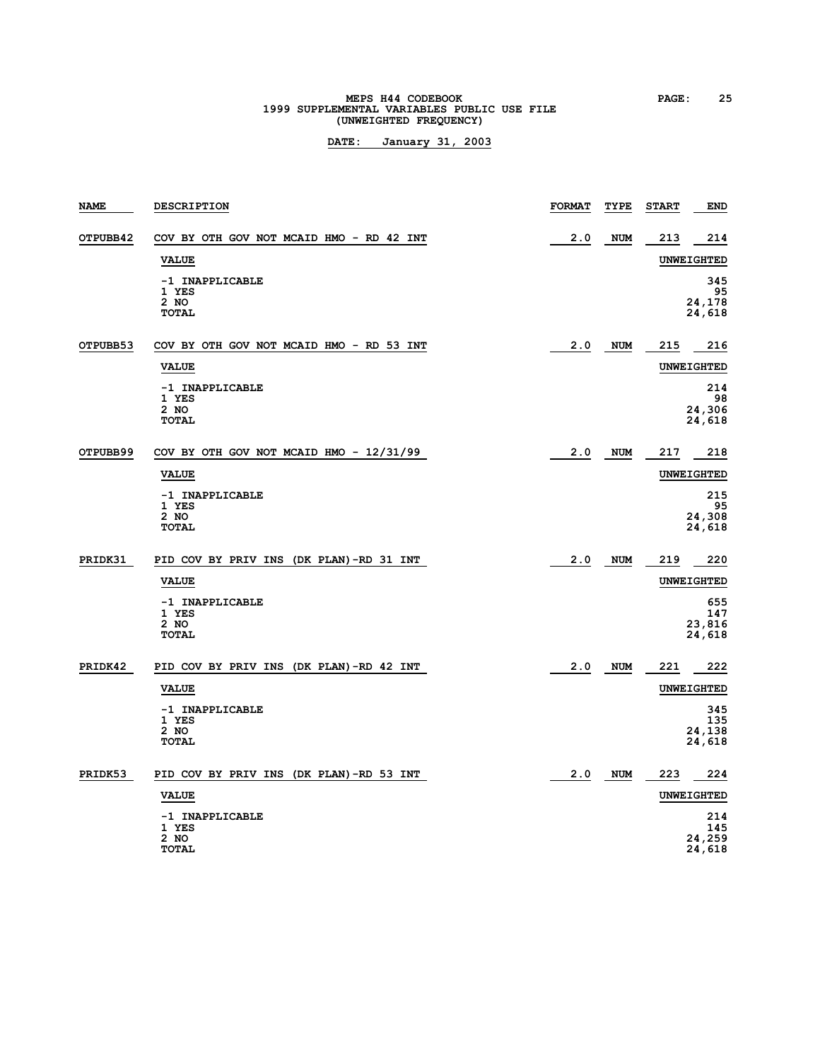# **MEPS H44 CODEBOOK PAGE:** 25<br> **1999 SUPPLEMENTAL VARIABLES PUBLIC USE FILE (UNWEIGHTED FREQUENCY)**

| NAME     | <b>DESCRIPTION</b>                                 | <b>FORMAT</b> | TYPE       | <b>START</b> | END                            |
|----------|----------------------------------------------------|---------------|------------|--------------|--------------------------------|
| OTPUBB42 | COV BY OTH GOV NOT MCAID HMO - RD 42 INT           | 2.0           | <b>NUM</b> | 213          | 214                            |
|          | <b>VALUE</b>                                       |               |            |              | <b>UNWEIGHTED</b>              |
|          | -1 INAPPLICABLE<br>1 YES<br>$2$ NO<br><b>TOTAL</b> |               |            |              | 345<br>95<br>24,178<br>24,618  |
| OTPUBB53 | COV BY OTH GOV NOT MCAID HMO - RD 53 INT           | 2.0           | NUM        | 215          | 216                            |
|          | <b>VALUE</b>                                       |               |            |              | <b>UNWEIGHTED</b>              |
|          | -1 INAPPLICABLE<br>1 YES<br>2 NO<br><b>TOTAL</b>   |               |            |              | 214<br>98<br>24,306<br>24,618  |
| OTPUBB99 | COV BY OTH GOV NOT MCAID HMO - 12/31/99            | 2.0           | NUM        | 217          | 218                            |
|          | <b>VALUE</b>                                       |               |            |              | <b>UNWEIGHTED</b>              |
|          | -1 INAPPLICABLE<br>1 YES<br>2 NO<br>TOTAL          |               |            |              | 215<br>95<br>24,308<br>24,618  |
| PRIDK31  | PID COV BY PRIV INS (DK PLAN)-RD 31 INT            | 2.0           | <b>NUM</b> | 219          | 220                            |
|          | <b>VALUE</b>                                       |               |            |              | <b>UNWEIGHTED</b>              |
|          | -1 INAPPLICABLE<br>1 YES<br>2 NO<br><b>TOTAL</b>   |               |            |              | 655<br>147<br>23,816<br>24,618 |
| PRIDK42  | PID COV BY PRIV INS (DK PLAN)-RD 42 INT            | 2.0           | <b>NUM</b> | 221          | 222                            |
|          | <b>VALUE</b>                                       |               |            |              | <b>UNWEIGHTED</b>              |
|          | -1 INAPPLICABLE<br>1 YES<br>$2$ NO<br>TOTAL        |               |            |              | 345<br>135<br>24,138<br>24,618 |
| PRIDK53  | PID COV BY PRIV INS (DK PLAN)-RD 53 INT            | 2.0           | <b>NUM</b> | 223          | 224                            |
|          | <b>VALUE</b>                                       |               |            |              | UNWEIGHTED                     |
|          | -1 INAPPLICABLE<br>1 YES<br>2 NO<br><b>TOTAL</b>   |               |            |              | 214<br>145<br>24,259<br>24,618 |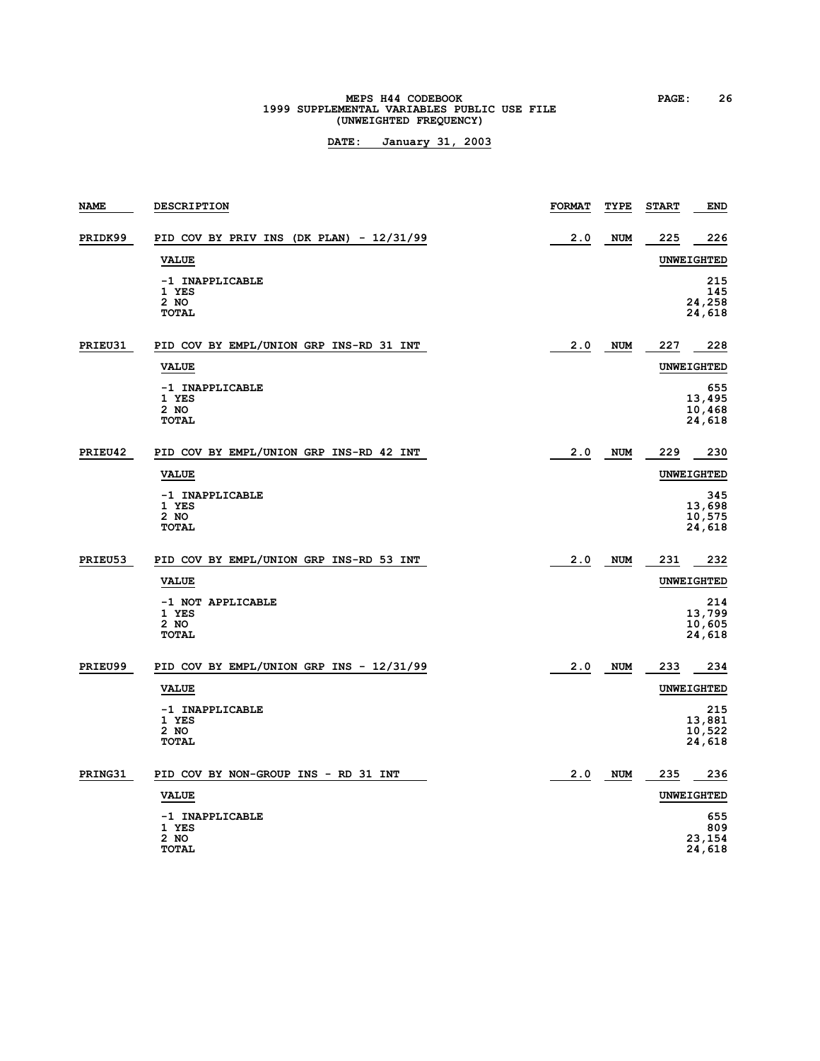# **MEPS H44 CODEBOOK PAGE: 26**<br>1999 SUPPLEMENTAL VARIABLES PUBLIC USE FILE **(UNWEIGHTED FREQUENCY)**

| <b>NAME</b> | <b>DESCRIPTION</b>                                 | <b>FORMAT</b> | TYPE       | <b>START</b> | <b>END</b>                        |
|-------------|----------------------------------------------------|---------------|------------|--------------|-----------------------------------|
| PRIDK99     | PID COV BY PRIV INS (DK PLAN) - $12/31/99$         | 2.0           | <b>NUM</b> | 225          | 226                               |
|             | <b>VALUE</b>                                       |               |            |              | <b>UNWEIGHTED</b>                 |
|             | -1 INAPPLICABLE<br>1 YES<br>2 NO<br><b>TOTAL</b>   |               |            |              | 215<br>145<br>24,258<br>24,618    |
| PRIEU31     | PID COV BY EMPL/UNION GRP INS-RD 31 INT            | 2.0           | <b>NUM</b> | 227          | 228                               |
|             | <b>VALUE</b>                                       |               |            |              | <b>UNWEIGHTED</b>                 |
|             | -1 INAPPLICABLE<br>1 YES<br>2 NO<br><b>TOTAL</b>   |               |            |              | 655<br>13,495<br>10,468<br>24,618 |
| PRIEU42     | PID COV BY EMPL/UNION GRP INS-RD 42 INT            | 2.0           | <b>NUM</b> | 229          | 230                               |
|             | <b>VALUE</b>                                       |               |            |              | <b>UNWEIGHTED</b>                 |
|             | -1 INAPPLICABLE<br>1 YES<br>2 NO<br><b>TOTAL</b>   |               |            |              | 345<br>13,698<br>10,575<br>24,618 |
| PRIEU53     | PID COV BY EMPL/UNION GRP INS-RD 53 INT            | 2.0           | <b>NUM</b> | 231          | 232                               |
|             | <b>VALUE</b>                                       |               |            |              | <b>UNWEIGHTED</b>                 |
|             | -1 NOT APPLICABLE<br>1 YES<br>2 NO<br><b>TOTAL</b> |               |            |              | 214<br>13,799<br>10,605<br>24,618 |
| PRIEU99     | PID COV BY EMPL/UNION GRP INS - 12/31/99           | 2.0           | <b>NUM</b> | 233          | 234                               |
|             | <b>VALUE</b>                                       |               |            |              | <b>UNWEIGHTED</b>                 |
|             | -1 INAPPLICABLE<br>1 YES<br>2 NO<br><b>TOTAL</b>   |               |            |              | 215<br>13,881<br>10,522<br>24,618 |
| PRING31     | PID COV BY NON-GROUP INS - RD 31 INT               | 2.0           | <b>NUM</b> | 235          | 236                               |
|             | <b>VALUE</b>                                       |               |            |              | UNWEIGHTED                        |
|             | -1 INAPPLICABLE<br>1 YES<br>2 NO<br><b>TOTAL</b>   |               |            |              | 655<br>809<br>23,154<br>24,618    |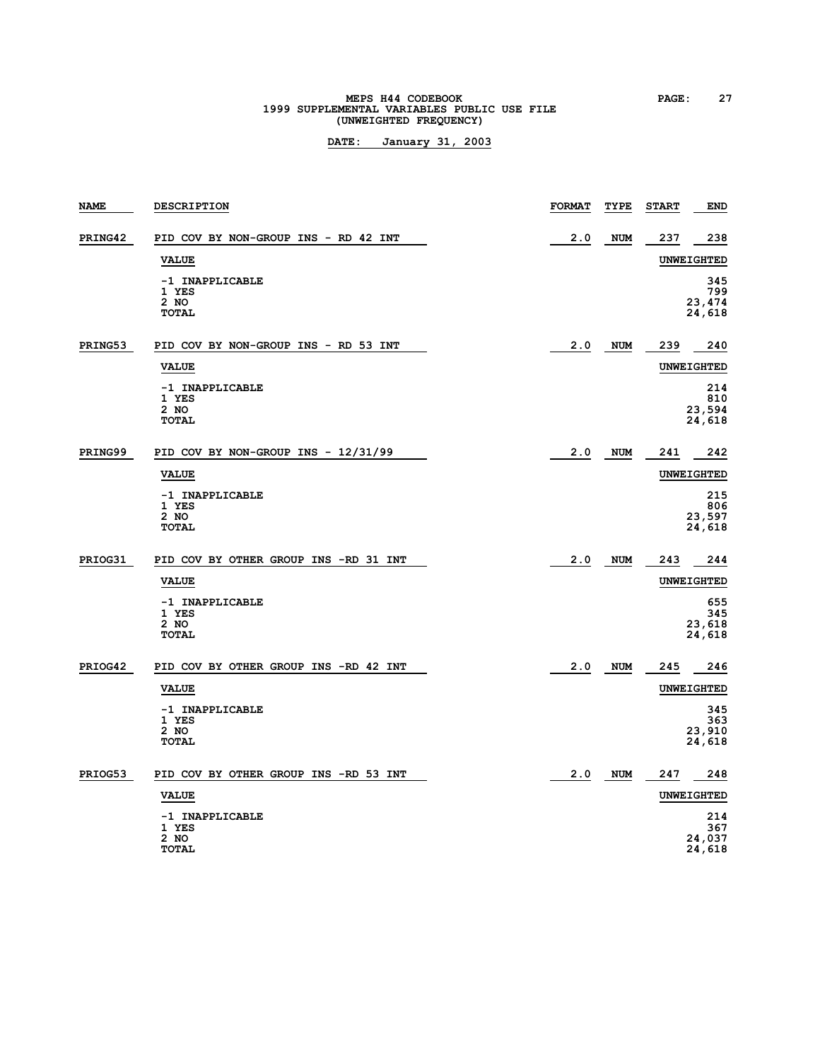# **MEPS H44 CODEBOOK PAGE: 27**<br>1999 SUPPLEMENTAL VARIABLES PUBLIC USE FILE **(UNWEIGHTED FREQUENCY)**

| <b>NAME</b> | <b>DESCRIPTION</b>                               | <b>FORMAT</b> | TYPE       | <b>START</b> | <b>END</b>                     |
|-------------|--------------------------------------------------|---------------|------------|--------------|--------------------------------|
| PRING42     | PID COV BY NON-GROUP INS - RD 42 INT             | 2.0           | <b>NUM</b> | 237          | 238                            |
|             | <b>VALUE</b>                                     |               |            |              | <b>UNWEIGHTED</b>              |
|             | -1 INAPPLICABLE<br>1 YES<br>2 NO<br><b>TOTAL</b> |               |            |              | 345<br>799<br>23,474<br>24,618 |
| PRING53     | PID COV BY NON-GROUP INS - RD 53 INT             | 2.0           | <b>NUM</b> | 239          | 240                            |
|             | <b>VALUE</b>                                     |               |            |              | <b>UNWEIGHTED</b>              |
|             | -1 INAPPLICABLE<br>1 YES<br>2 NO<br><b>TOTAL</b> |               |            |              | 214<br>810<br>23,594<br>24,618 |
| PRING99     | PID COV BY NON-GROUP INS - 12/31/99              | 2.0           | <b>NUM</b> | 241          | 242                            |
|             | <b>VALUE</b>                                     |               |            |              | <b>UNWEIGHTED</b>              |
|             | -1 INAPPLICABLE<br>1 YES<br>2 NO<br><b>TOTAL</b> |               |            |              | 215<br>806<br>23,597<br>24,618 |
| PRIOG31     | PID COV BY OTHER GROUP INS -RD 31 INT            | 2.0           | <b>NUM</b> | 243          | 244                            |
|             | <b>VALUE</b>                                     |               |            |              | <b>UNWEIGHTED</b>              |
|             | -1 INAPPLICABLE<br>1 YES<br>2 NO<br><b>TOTAL</b> |               |            |              | 655<br>345<br>23,618<br>24,618 |
| PRIOG42     | PID COV BY OTHER GROUP INS -RD 42 INT            | 2.0           | <b>NUM</b> | 245          | 246                            |
|             | <b>VALUE</b>                                     |               |            |              | <b>UNWEIGHTED</b>              |
|             | -1 INAPPLICABLE<br>1 YES<br>2 NO<br><b>TOTAL</b> |               |            |              | 345<br>363<br>23,910<br>24,618 |
| PRIOG53     | PID COV BY OTHER GROUP INS -RD 53 INT            | 2.0           | <b>NUM</b> | 247          | 248                            |
|             | <b>VALUE</b>                                     |               |            |              | <b>UNWEIGHTED</b>              |
|             | -1 INAPPLICABLE<br>1 YES<br>2 NO<br>TOTAL        |               |            |              | 214<br>367<br>24,037<br>24,618 |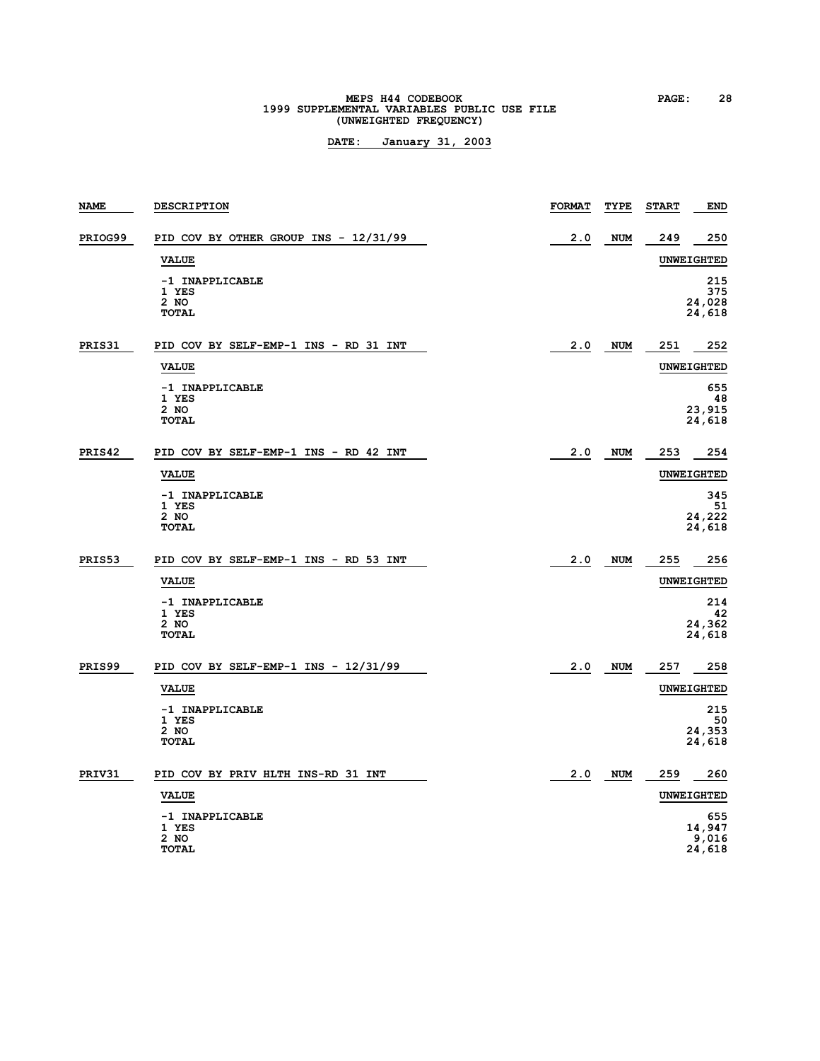# **MEPS H44 CODEBOOK PAGE:** 28<br> **1999 SUPPLEMENTAL VARIABLES PUBLIC USE FILE (UNWEIGHTED FREQUENCY)**

| <b>NAME</b> | <b>DESCRIPTION</b>                                 | <b>FORMAT</b> | TYPE       | <b>START</b> | <b>END</b>                       |
|-------------|----------------------------------------------------|---------------|------------|--------------|----------------------------------|
| PRIOG99     | PID COV BY OTHER GROUP INS - 12/31/99              | 2.0           | <b>NUM</b> | 249          | 250                              |
|             | <b>VALUE</b>                                       |               |            |              | <b>UNWEIGHTED</b>                |
|             | -1 INAPPLICABLE<br>1 YES<br>2 NO<br><b>TOTAL</b>   |               |            |              | 215<br>375<br>24,028<br>24,618   |
| PRIS31      | PID COV BY SELF-EMP-1 INS - RD 31 INT              | 2.0           | <b>NUM</b> | 251          | 252                              |
|             | <b>VALUE</b>                                       |               |            |              | <b>UNWEIGHTED</b>                |
|             | -1 INAPPLICABLE<br>1 YES<br>$2$ NO<br><b>TOTAL</b> |               |            |              | 655<br>48<br>23,915<br>24,618    |
| PRIS42      | PID COV BY SELF-EMP-1 INS - RD 42 INT              | 2.0           | <b>NUM</b> | 253          | 254                              |
|             | <b>VALUE</b>                                       |               |            |              | UNWEIGHTED                       |
|             | -1 INAPPLICABLE<br>1 YES<br>2 NO<br><b>TOTAL</b>   |               |            |              | 345<br>51<br>24,222<br>24,618    |
| PRIS53      | PID COV BY SELF-EMP-1 INS - RD 53 INT              | 2.0           | <b>NUM</b> | 255          | 256                              |
|             | <b>VALUE</b>                                       |               |            |              | UNWEIGHTED                       |
|             | -1 INAPPLICABLE<br>1 YES<br>2 NO<br><b>TOTAL</b>   |               |            |              | 214<br>42<br>24,362<br>24,618    |
| PRIS99      | PID COV BY SELF-EMP-1 INS - $12/31/99$             | 2.0           | <b>NUM</b> | 257          | 258                              |
|             | <b>VALUE</b>                                       |               |            |              | UNWEIGHTED                       |
|             | -1 INAPPLICABLE<br>1 YES<br>2 NO<br><b>TOTAL</b>   |               |            |              | 215<br>50<br>24,353<br>24,618    |
| PRIV31      | PID COV BY PRIV HLTH INS-RD 31 INT                 | 2.0           | <b>NUM</b> | 259          | 260                              |
|             | <b>VALUE</b>                                       |               |            |              | <b>UNWEIGHTED</b>                |
|             | -1 INAPPLICABLE<br>1 YES<br>2 NO<br>TOTAL          |               |            |              | 655<br>14,947<br>9,016<br>24,618 |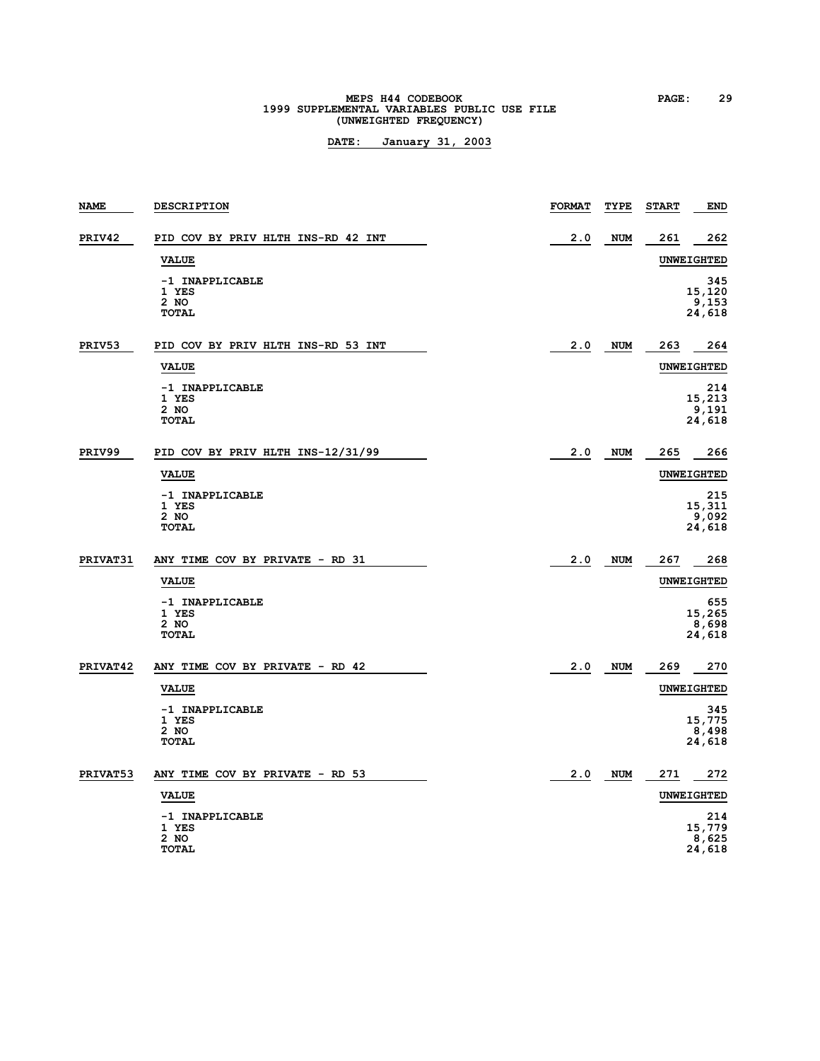# **MEPS H44 CODEBOOK PAGE: 29**<br>1999 SUPPLEMENTAL VARIABLES PUBLIC USE FILE **(UNWEIGHTED FREQUENCY)**

| <b>NAME</b> | DESCRIPTION                                      | <b>FORMAT</b> | TYPE       | <b>START</b> | <b>END</b>                       |
|-------------|--------------------------------------------------|---------------|------------|--------------|----------------------------------|
| PRIV42      | PID COV BY PRIV HLTH INS-RD 42 INT               | 2.0           | <b>NUM</b> | 261          | 262                              |
|             | <b>VALUE</b>                                     |               |            |              | <b>UNWEIGHTED</b>                |
|             | -1 INAPPLICABLE<br>1 YES<br>2 NO<br><b>TOTAL</b> |               |            |              | 345<br>15,120<br>9,153<br>24,618 |
| PRIV53      | PID COV BY PRIV HLTH INS-RD 53 INT               | 2.0           | NUM        | 263          | 264                              |
|             | <b>VALUE</b>                                     |               |            |              | <b>UNWEIGHTED</b>                |
|             | -1 INAPPLICABLE<br>1 YES<br>2 NO<br><b>TOTAL</b> |               |            |              | 214<br>15,213<br>9,191<br>24,618 |
| PRIV99      | PID COV BY PRIV HLTH INS-12/31/99                | 2.0           | NUM        | 265          | 266                              |
|             | <b>VALUE</b>                                     |               |            |              | <b>UNWEIGHTED</b>                |
|             | -1 INAPPLICABLE<br>1 YES<br>2 NO<br><b>TOTAL</b> |               |            |              | 215<br>15,311<br>9,092<br>24,618 |
| PRIVAT31    | ANY TIME COV BY PRIVATE - RD 31                  | 2.0           | <b>NUM</b> | 267          | 268                              |
|             | <b>VALUE</b>                                     |               |            |              | UNWEIGHTED                       |
|             | -1 INAPPLICABLE<br>1 YES<br>2 NO<br><b>TOTAL</b> |               |            |              | 655<br>15,265<br>8,698<br>24,618 |
| PRIVAT42    | ANY TIME COV BY PRIVATE - RD 42                  | 2.0           | <b>NUM</b> | 269          | 270                              |
|             | <b>VALUE</b>                                     |               |            |              | <b>UNWEIGHTED</b>                |
|             | -1 INAPPLICABLE<br>1 YES<br>2 NO<br><b>TOTAL</b> |               |            |              | 345<br>15,775<br>8,498<br>24,618 |
| PRIVAT53    | ANY TIME COV BY PRIVATE - RD 53                  | 2.0           | <b>NUM</b> | 271          | 272                              |
|             | <b>VALUE</b>                                     |               |            |              | <b>UNWEIGHTED</b>                |
|             | -1 INAPPLICABLE<br>1 YES<br>2 NO<br>TOTAL        |               |            |              | 214<br>15,779<br>8,625<br>24,618 |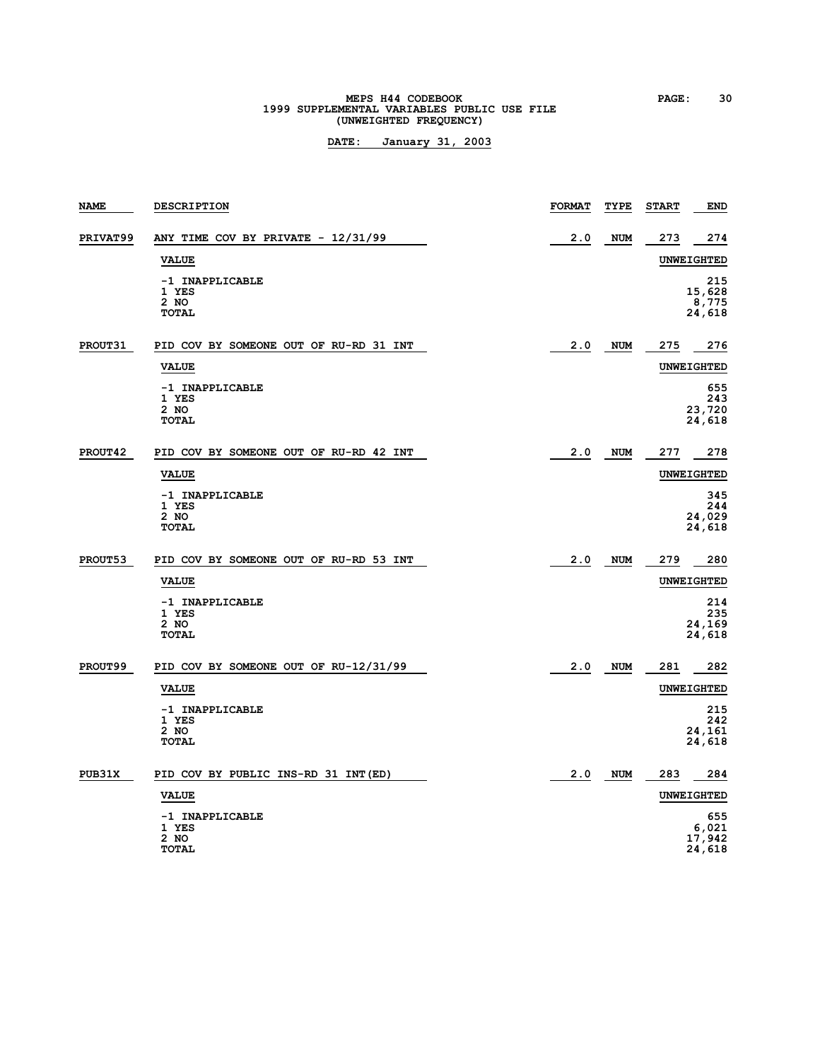# **MEPS H44 CODEBOOK PAGE: 30**<br>1999 SUPPLEMENTAL VARIABLES PUBLIC USE FILE **(UNWEIGHTED FREQUENCY)**

| <b>NAME</b> | <b>DESCRIPTION</b>                               | <b>FORMAT</b> | TYPE       | <b>START</b> | <b>END</b>                       |
|-------------|--------------------------------------------------|---------------|------------|--------------|----------------------------------|
| PRIVAT99    | ANY TIME COV BY PRIVATE - 12/31/99               | 2.0           | <b>NUM</b> | 273          | 274                              |
|             | <b>VALUE</b>                                     |               |            |              | <b>UNWEIGHTED</b>                |
|             | -1 INAPPLICABLE<br>1 YES<br>2 NO<br>TOTAL        |               |            |              | 215<br>15,628<br>8,775<br>24,618 |
| PROUT31     | PID COV BY SOMEONE OUT OF RU-RD 31 INT           | 2.0           | <b>NUM</b> | 275          | 276                              |
|             | <b>VALUE</b>                                     |               |            |              | <b>UNWEIGHTED</b>                |
|             | -1 INAPPLICABLE<br>1 YES<br>2 NO<br><b>TOTAL</b> |               |            |              | 655<br>243<br>23,720<br>24,618   |
| PROUT42     | PID COV BY SOMEONE OUT OF RU-RD 42 INT           | 2.0           | <b>NUM</b> | 277          | 278                              |
|             | <b>VALUE</b>                                     |               |            |              | <b>UNWEIGHTED</b>                |
|             | -1 INAPPLICABLE<br>1 YES<br>2 NO<br><b>TOTAL</b> |               |            |              | 345<br>244<br>24,029<br>24,618   |
| PROUT53     | PID COV BY SOMEONE OUT OF RU-RD 53 INT           | 2.0           | <b>NUM</b> | 279          | 280                              |
|             | <b>VALUE</b>                                     |               |            |              | <b>UNWEIGHTED</b>                |
|             | -1 INAPPLICABLE<br>1 YES<br>2 NO<br><b>TOTAL</b> |               |            |              | 214<br>235<br>24,169<br>24,618   |
| PROUT99     | PID COV BY SOMEONE OUT OF RU-12/31/99            | 2.0           | <b>NUM</b> | 281          | 282                              |
|             | <b>VALUE</b>                                     |               |            |              | UNWEIGHTED                       |
|             | -1 INAPPLICABLE<br>1 YES<br>2 NO<br><b>TOTAL</b> |               |            |              | 215<br>242<br>24,161<br>24,618   |
| PUB31X      | PID COV BY PUBLIC INS-RD 31 INT (ED)             | 2.0           | <b>NUM</b> | 283          | 284                              |
|             | <b>VALUE</b>                                     |               |            |              | UNWEIGHTED                       |
|             | -1 INAPPLICABLE<br>1 YES<br>2 NO<br><b>TOTAL</b> |               |            |              | 655<br>6,021<br>17,942<br>24,618 |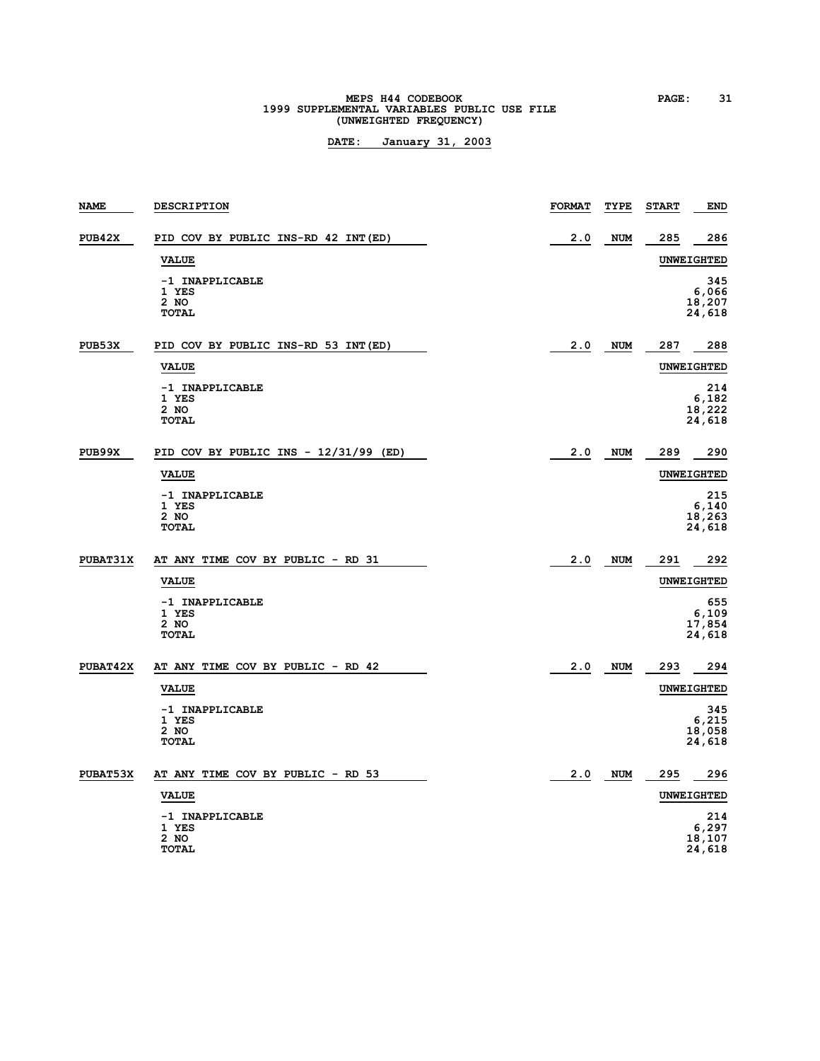# **MEPS H44 CODEBOOK** PAGE: 31<br> **1999 SUPPLEMENTAL VARIABLES PUBLIC USE FILE (UNWEIGHTED FREQUENCY)**

| <b>NAME</b>     | <b>DESCRIPTION</b>                                 | <b>FORMAT</b> | TYPE       | <b>START</b> | <b>END</b>                       |
|-----------------|----------------------------------------------------|---------------|------------|--------------|----------------------------------|
| PUB42X          | PID COV BY PUBLIC INS-RD 42 INT (ED)               | 2.0           | <b>NUM</b> | 285          | 286                              |
|                 | <b>VALUE</b>                                       |               |            |              | <b>UNWEIGHTED</b>                |
|                 | -1 INAPPLICABLE<br>1 YES<br>2 NO<br><b>TOTAL</b>   |               |            |              | 345<br>6,066<br>18,207<br>24,618 |
| PUB53X          | PID COV BY PUBLIC INS-RD 53 INT (ED)               | 2.0           | <b>NUM</b> | 287          | 288                              |
|                 | <b>VALUE</b>                                       |               |            |              | <b>UNWEIGHTED</b>                |
|                 | -1 INAPPLICABLE<br>1 YES<br>2 NO<br><b>TOTAL</b>   |               |            |              | 214<br>6,182<br>18,222<br>24,618 |
| PUB99X          | PID COV BY PUBLIC INS - 12/31/99 (ED)              | 2.0           | <b>NUM</b> | 289          | 290                              |
|                 | <b>VALUE</b>                                       |               |            |              | <b>UNWEIGHTED</b>                |
|                 | -1 INAPPLICABLE<br>1 YES<br>2 NO<br><b>TOTAL</b>   |               |            |              | 215<br>6,140<br>18,263<br>24,618 |
| PUBAT31X        | AT ANY TIME COV BY PUBLIC - RD 31                  | 2.0           | <b>NUM</b> | 291          | 292                              |
|                 | <b>VALUE</b>                                       |               |            |              | <b>UNWEIGHTED</b>                |
|                 | -1 INAPPLICABLE<br>1 YES<br>2 NO<br><b>TOTAL</b>   |               |            |              | 655<br>6,109<br>17,854<br>24,618 |
| <b>PUBAT42X</b> | AT ANY TIME COV BY PUBLIC - RD 42                  | 2.0           | <b>NUM</b> | 293          | 294                              |
|                 | <b>VALUE</b>                                       |               |            |              | <b>UNWEIGHTED</b>                |
|                 | -1 INAPPLICABLE<br>1 YES<br>$2$ NO<br><b>TOTAL</b> |               |            |              | 345<br>6,215<br>18,058<br>24,618 |
| PUBAT53X        | AT ANY TIME COV BY PUBLIC - RD 53                  | 2.0           | <b>NUM</b> | 295          | 296                              |
|                 | <b>VALUE</b>                                       |               |            |              | UNWEIGHTED                       |
|                 | -1 INAPPLICABLE<br>1 YES<br>2 NO<br><b>TOTAL</b>   |               |            |              | 214<br>6,297<br>18,107<br>24,618 |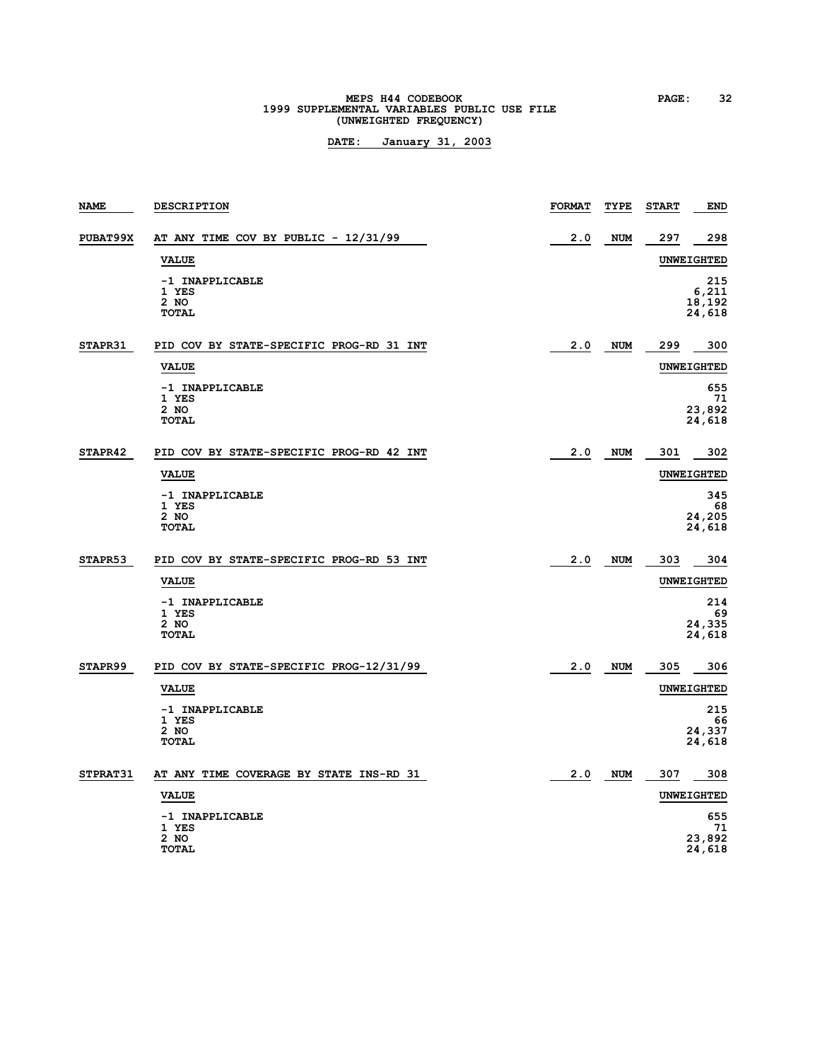# **MEPS H44 CODEBOOK PAGE: 32**<br>1999 SUPPLEMENTAL VARIABLES PUBLIC USE FILE **(UNWEIGHTED FREQUENCY)**

| <b>NAME</b> | <b>DESCRIPTION</b>                                 | <b>FORMAT</b> | TYPE       | <b>START</b> | <b>END</b>                       |
|-------------|----------------------------------------------------|---------------|------------|--------------|----------------------------------|
| PUBAT99X    | AT ANY TIME COV BY PUBLIC - 12/31/99               | 2.0           | <b>NUM</b> | 297          | 298                              |
|             | <b>VALUE</b>                                       |               |            |              | <b>UNWEIGHTED</b>                |
|             | -1 INAPPLICABLE<br>1 YES<br>2 NO<br><b>TOTAL</b>   |               |            |              | 215<br>6,211<br>18,192<br>24,618 |
| STAPR31     | PID COV BY STATE-SPECIFIC PROG-RD 31 INT           | 2.0           | <b>NUM</b> | 299          | 300                              |
|             | <b>VALUE</b>                                       |               |            |              | <b>UNWEIGHTED</b>                |
|             | -1 INAPPLICABLE<br>1 YES<br>$2$ NO<br><b>TOTAL</b> |               |            |              | 655<br>71<br>23,892<br>24,618    |
| STAPR42     | PID COV BY STATE-SPECIFIC PROG-RD 42 INT           | 2.0           | <b>NUM</b> | 301          | 302                              |
|             | <b>VALUE</b>                                       |               |            |              | <b>UNWEIGHTED</b>                |
|             | -1 INAPPLICABLE<br>1 YES<br>2 NO<br><b>TOTAL</b>   |               |            |              | 345<br>68<br>24,205<br>24,618    |
| STAPR53     | PID COV BY STATE-SPECIFIC PROG-RD 53 INT           | 2.0           | <b>NUM</b> | 303          | 304                              |
|             | <b>VALUE</b>                                       |               |            |              | <b>UNWEIGHTED</b>                |
|             | -1 INAPPLICABLE<br>1 YES<br>2 NO<br><b>TOTAL</b>   |               |            |              | 214<br>69<br>24,335<br>24,618    |
| STAPR99     | PID COV BY STATE-SPECIFIC PROG-12/31/99            | 2.0           | <b>NUM</b> | 305          | 306                              |
|             | <b>VALUE</b>                                       |               |            |              | <b>UNWEIGHTED</b>                |
|             | -1 INAPPLICABLE<br>1 YES<br>2 NO<br><b>TOTAL</b>   |               |            |              | 215<br>66<br>24,337<br>24,618    |
| STPRAT31    | AT ANY TIME COVERAGE BY STATE INS-RD 31            | 2.0           | <b>NUM</b> | 307          | 308                              |
|             | <b>VALUE</b>                                       |               |            |              | UNWEIGHTED                       |
|             | -1 INAPPLICABLE<br>1 YES<br>2 NO<br><b>TOTAL</b>   |               |            |              | 655<br>71<br>23,892<br>24,618    |